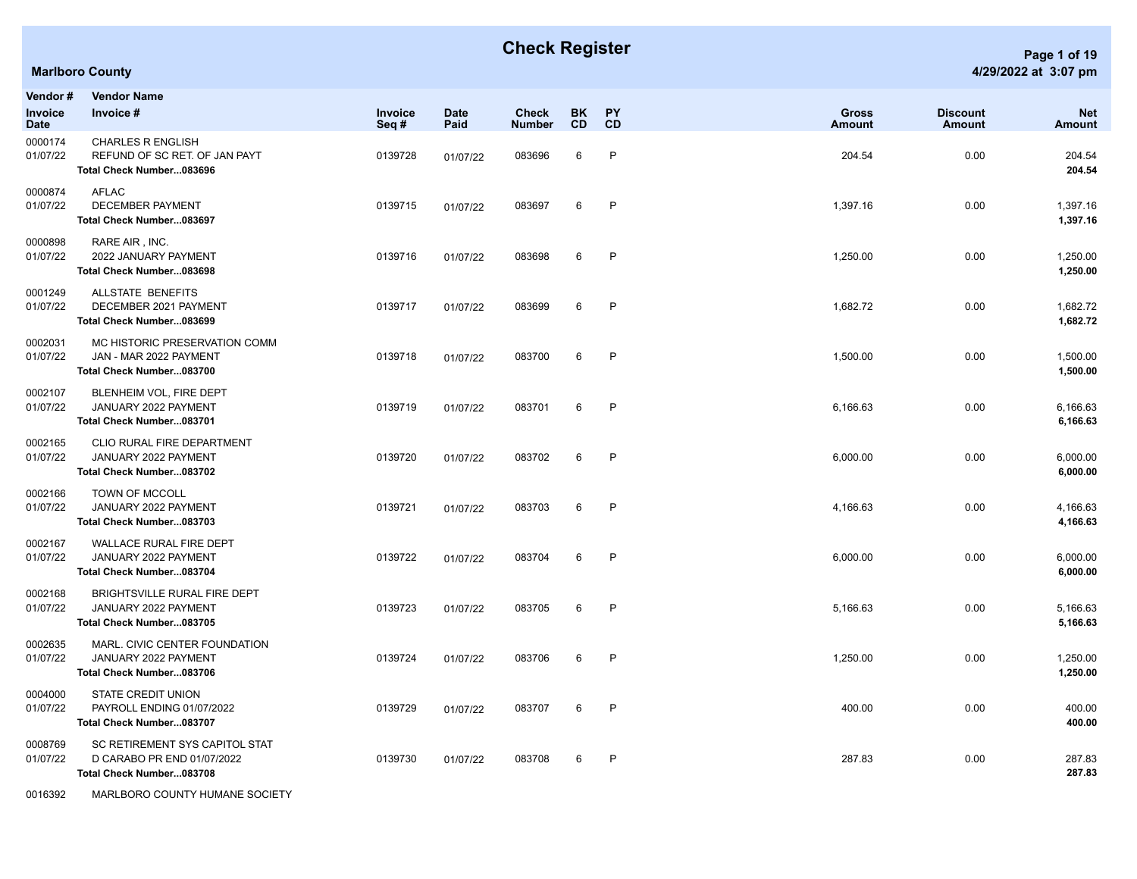| Vendor#<br>Invoice<br><b>Date</b> | <b>Vendor Name</b><br>Invoice #                                                          | <b>Invoice</b><br>Seq# | <b>Date</b><br>Paid | <b>Check</b><br><b>Number</b> | <b>BK</b><br>CD | <b>PY</b><br>CD | <b>Gross</b><br><b>Amount</b> | <b>Discount</b><br>Amount | <b>Net</b><br>Amount |
|-----------------------------------|------------------------------------------------------------------------------------------|------------------------|---------------------|-------------------------------|-----------------|-----------------|-------------------------------|---------------------------|----------------------|
| 0000174<br>01/07/22               | <b>CHARLES R ENGLISH</b><br>REFUND OF SC RET. OF JAN PAYT<br>Total Check Number083696    | 0139728                | 01/07/22            | 083696                        | 6               | P               | 204.54                        | 0.00                      | 204.54<br>204.54     |
| 0000874<br>01/07/22               | <b>AFLAC</b><br><b>DECEMBER PAYMENT</b><br>Total Check Number083697                      | 0139715                | 01/07/22            | 083697                        | 6               | P               | 1,397.16                      | 0.00                      | 1,397.16<br>1,397.16 |
| 0000898<br>01/07/22               | RARE AIR, INC.<br>2022 JANUARY PAYMENT<br>Total Check Number083698                       | 0139716                | 01/07/22            | 083698                        | 6               | P               | 1,250.00                      | 0.00                      | 1,250.00<br>1,250.00 |
| 0001249<br>01/07/22               | ALLSTATE BENEFITS<br>DECEMBER 2021 PAYMENT<br>Total Check Number083699                   | 0139717                | 01/07/22            | 083699                        | 6               | $\mathsf{P}$    | 1,682.72                      | 0.00                      | 1,682.72<br>1,682.72 |
| 0002031<br>01/07/22               | MC HISTORIC PRESERVATION COMM<br>JAN - MAR 2022 PAYMENT<br>Total Check Number083700      | 0139718                | 01/07/22            | 083700                        | 6               | P               | 1,500.00                      | 0.00                      | 1,500.00<br>1,500.00 |
| 0002107<br>01/07/22               | BLENHEIM VOL, FIRE DEPT<br>JANUARY 2022 PAYMENT<br>Total Check Number083701              | 0139719                | 01/07/22            | 083701                        | 6               | P               | 6,166.63                      | 0.00                      | 6,166.63<br>6,166.63 |
| 0002165<br>01/07/22               | CLIO RURAL FIRE DEPARTMENT<br>JANUARY 2022 PAYMENT<br>Total Check Number083702           | 0139720                | 01/07/22            | 083702                        | 6               | P               | 6,000.00                      | 0.00                      | 6,000.00<br>6,000.00 |
| 0002166<br>01/07/22               | TOWN OF MCCOLL<br>JANUARY 2022 PAYMENT<br>Total Check Number083703                       | 0139721                | 01/07/22            | 083703                        | 6               | P               | 4,166.63                      | 0.00                      | 4,166.63<br>4,166.63 |
| 0002167<br>01/07/22               | WALLACE RURAL FIRE DEPT<br>JANUARY 2022 PAYMENT<br>Total Check Number083704              | 0139722                | 01/07/22            | 083704                        | 6               | P               | 6,000.00                      | 0.00                      | 6,000.00<br>6,000.00 |
| 0002168<br>01/07/22               | BRIGHTSVILLE RURAL FIRE DEPT<br>JANUARY 2022 PAYMENT<br>Total Check Number083705         | 0139723                | 01/07/22            | 083705                        | 6               | P               | 5,166.63                      | 0.00                      | 5,166.63<br>5,166.63 |
| 0002635<br>01/07/22               | MARL. CIVIC CENTER FOUNDATION<br>JANUARY 2022 PAYMENT<br>Total Check Number083706        | 0139724                | 01/07/22            | 083706                        | 6               | P               | 1,250.00                      | 0.00                      | 1,250.00<br>1,250.00 |
| 0004000<br>01/07/22               | STATE CREDIT UNION<br>PAYROLL ENDING 01/07/2022<br>Total Check Number083707              | 0139729                | 01/07/22            | 083707                        | 6               | P               | 400.00                        | 0.00                      | 400.00<br>400.00     |
| 0008769<br>01/07/22               | SC RETIREMENT SYS CAPITOL STAT<br>D CARABO PR END 01/07/2022<br>Total Check Number083708 | 0139730                | 01/07/22            | 083708                        | 6               | P               | 287.83                        | 0.00                      | 287.83<br>287.83     |

0016392 MARLBORO COUNTY HUMANE SOCIETY

## **Check Register Page 1 of 19**

## **Marlboro County 4/29/2022 at 3:07 pm**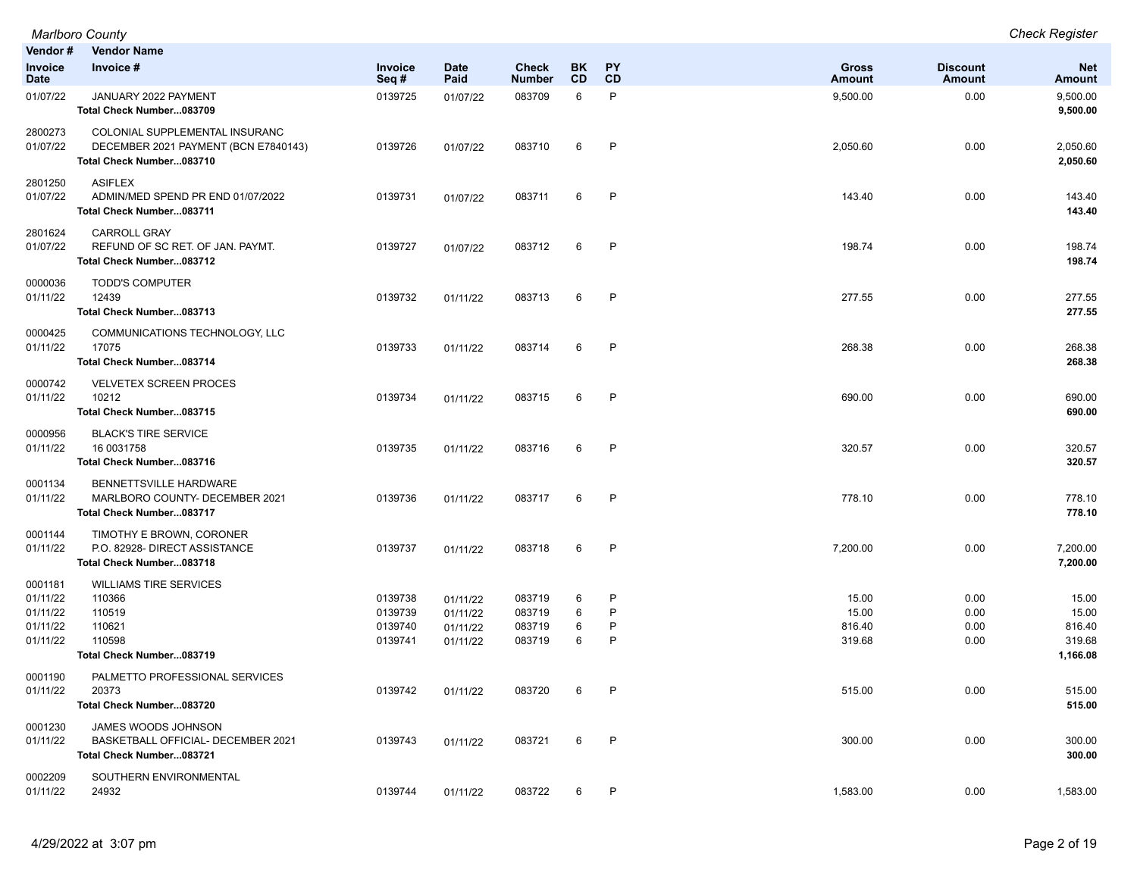|                                                         | <b>Marlboro County</b>                                                                             |                                          |                                              |                                      |                  |                             |                                    |                              | <b>Check Register</b>                          |
|---------------------------------------------------------|----------------------------------------------------------------------------------------------------|------------------------------------------|----------------------------------------------|--------------------------------------|------------------|-----------------------------|------------------------------------|------------------------------|------------------------------------------------|
| Vendor#                                                 | <b>Vendor Name</b>                                                                                 |                                          |                                              |                                      |                  |                             |                                    |                              |                                                |
| Invoice<br><b>Date</b>                                  | Invoice #                                                                                          | Invoice<br>Seq#                          | <b>Date</b><br>Paid                          | <b>Check</b><br><b>Number</b>        | BK<br><b>CD</b>  | <b>PY</b><br>CD             | <b>Gross</b><br><b>Amount</b>      | <b>Discount</b><br>Amount    | <b>Net</b><br><b>Amount</b>                    |
| 01/07/22                                                | JANUARY 2022 PAYMENT<br>Total Check Number083709                                                   | 0139725                                  | 01/07/22                                     | 083709                               | 6                | P                           | 9,500.00                           | 0.00                         | 9,500.00<br>9,500.00                           |
| 2800273<br>01/07/22                                     | COLONIAL SUPPLEMENTAL INSURANC<br>DECEMBER 2021 PAYMENT (BCN E7840143)<br>Total Check Number083710 | 0139726                                  | 01/07/22                                     | 083710                               | 6                | $\mathsf{P}$                | 2,050.60                           | 0.00                         | 2,050.60<br>2,050.60                           |
| 2801250<br>01/07/22                                     | <b>ASIFLEX</b><br>ADMIN/MED SPEND PR END 01/07/2022<br>Total Check Number083711                    | 0139731                                  | 01/07/22                                     | 083711                               | 6                | P                           | 143.40                             | 0.00                         | 143.40<br>143.40                               |
| 2801624<br>01/07/22                                     | <b>CARROLL GRAY</b><br>REFUND OF SC RET. OF JAN. PAYMT.<br>Total Check Number083712                | 0139727                                  | 01/07/22                                     | 083712                               | 6                | P                           | 198.74                             | 0.00                         | 198.74<br>198.74                               |
| 0000036<br>01/11/22                                     | <b>TODD'S COMPUTER</b><br>12439<br>Total Check Number083713                                        | 0139732                                  | 01/11/22                                     | 083713                               | 6                | $\mathsf{P}$                | 277.55                             | 0.00                         | 277.55<br>277.55                               |
| 0000425<br>01/11/22                                     | COMMUNICATIONS TECHNOLOGY, LLC<br>17075<br>Total Check Number083714                                | 0139733                                  | 01/11/22                                     | 083714                               | 6                | P                           | 268.38                             | 0.00                         | 268.38<br>268.38                               |
| 0000742<br>01/11/22                                     | <b>VELVETEX SCREEN PROCES</b><br>10212<br>Total Check Number083715                                 | 0139734                                  | 01/11/22                                     | 083715                               | 6                | $\mathsf{P}$                | 690.00                             | 0.00                         | 690.00<br>690.00                               |
| 0000956<br>01/11/22                                     | <b>BLACK'S TIRE SERVICE</b><br>16 0031758<br>Total Check Number083716                              | 0139735                                  | 01/11/22                                     | 083716                               | 6                | $\mathsf{P}$                | 320.57                             | 0.00                         | 320.57<br>320.57                               |
| 0001134<br>01/11/22                                     | BENNETTSVILLE HARDWARE<br>MARLBORO COUNTY- DECEMBER 2021<br>Total Check Number083717               | 0139736                                  | 01/11/22                                     | 083717                               | 6                | $\mathsf{P}$                | 778.10                             | 0.00                         | 778.10<br>778.10                               |
| 0001144<br>01/11/22                                     | TIMOTHY E BROWN, CORONER<br>P.O. 82928- DIRECT ASSISTANCE<br>Total Check Number083718              | 0139737                                  | 01/11/22                                     | 083718                               | 6                | $\mathsf{P}$                | 7,200.00                           | 0.00                         | 7,200.00<br>7,200.00                           |
| 0001181<br>01/11/22<br>01/11/22<br>01/11/22<br>01/11/22 | <b>WILLIAMS TIRE SERVICES</b><br>110366<br>110519<br>110621<br>110598<br>Total Check Number083719  | 0139738<br>0139739<br>0139740<br>0139741 | 01/11/22<br>01/11/22<br>01/11/22<br>01/11/22 | 083719<br>083719<br>083719<br>083719 | 6<br>6<br>6<br>6 | $\mathsf{P}$<br>P<br>P<br>P | 15.00<br>15.00<br>816.40<br>319.68 | 0.00<br>0.00<br>0.00<br>0.00 | 15.00<br>15.00<br>816.40<br>319.68<br>1,166.08 |
| 0001190<br>01/11/22                                     | PALMETTO PROFESSIONAL SERVICES<br>20373<br>Total Check Number083720                                | 0139742                                  | 01/11/22                                     | 083720                               | 6                | $\mathsf{P}$                | 515.00                             | 0.00                         | 515.00<br>515.00                               |
| 0001230<br>01/11/22                                     | JAMES WOODS JOHNSON<br>BASKETBALL OFFICIAL- DECEMBER 2021<br>Total Check Number083721              | 0139743                                  | 01/11/22                                     | 083721                               | 6                | $\mathsf{P}$                | 300.00                             | 0.00                         | 300.00<br>300.00                               |
| 0002209<br>01/11/22                                     | SOUTHERN ENVIRONMENTAL<br>24932                                                                    | 0139744                                  | 01/11/22                                     | 083722                               | 6                | P                           | 1,583.00                           | 0.00                         | 1,583.00                                       |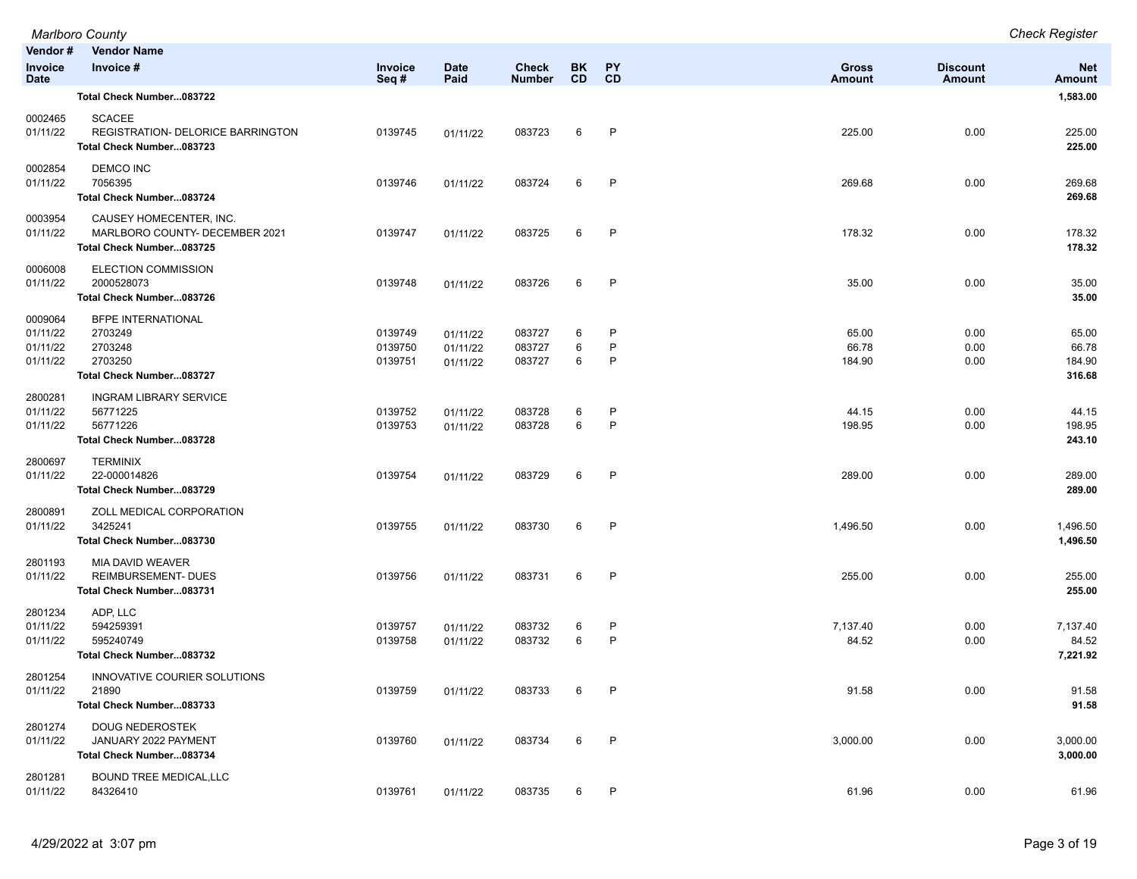|                                             | <b>Marlboro County</b>                                                                 |                               |                                  |                               |                        |                 |                          |                           | <b>Check Register</b>              |
|---------------------------------------------|----------------------------------------------------------------------------------------|-------------------------------|----------------------------------|-------------------------------|------------------------|-----------------|--------------------------|---------------------------|------------------------------------|
| Vendor#                                     | <b>Vendor Name</b>                                                                     |                               |                                  |                               |                        |                 |                          |                           |                                    |
| Invoice<br><b>Date</b>                      | Invoice #                                                                              | <b>Invoice</b><br>Seq#        | <b>Date</b><br>Paid              | <b>Check</b><br><b>Number</b> | <b>BK</b><br><b>CD</b> | <b>PY</b><br>CD | <b>Gross</b><br>Amount   | <b>Discount</b><br>Amount | <b>Net</b><br><b>Amount</b>        |
|                                             | Total Check Number083722                                                               |                               |                                  |                               |                        |                 |                          |                           | 1,583.00                           |
| 0002465<br>01/11/22                         | <b>SCACEE</b><br>REGISTRATION- DELORICE BARRINGTON<br>Total Check Number083723         | 0139745                       | 01/11/22                         | 083723                        | 6                      | P               | 225.00                   | 0.00                      | 225.00<br>225.00                   |
| 0002854<br>01/11/22                         | <b>DEMCO INC</b><br>7056395<br>Total Check Number083724                                | 0139746                       | 01/11/22                         | 083724                        | 6                      | P               | 269.68                   | 0.00                      | 269.68<br>269.68                   |
| 0003954<br>01/11/22                         | CAUSEY HOMECENTER, INC.<br>MARLBORO COUNTY- DECEMBER 2021<br>Total Check Number083725  | 0139747                       | 01/11/22                         | 083725                        | 6                      | $\mathsf{P}$    | 178.32                   | 0.00                      | 178.32<br>178.32                   |
| 0006008<br>01/11/22                         | ELECTION COMMISSION<br>2000528073<br>Total Check Number083726                          | 0139748                       | 01/11/22                         | 083726                        | 6                      | P               | 35.00                    | 0.00                      | 35.00<br>35.00                     |
| 0009064<br>01/11/22<br>01/11/22<br>01/11/22 | <b>BFPE INTERNATIONAL</b><br>2703249<br>2703248<br>2703250<br>Total Check Number083727 | 0139749<br>0139750<br>0139751 | 01/11/22<br>01/11/22<br>01/11/22 | 083727<br>083727<br>083727    | 6<br>6<br>6            | P<br>P<br>P     | 65.00<br>66.78<br>184.90 | 0.00<br>0.00<br>0.00      | 65.00<br>66.78<br>184.90<br>316.68 |
| 2800281<br>01/11/22<br>01/11/22             | <b>INGRAM LIBRARY SERVICE</b><br>56771225<br>56771226<br>Total Check Number083728      | 0139752<br>0139753            | 01/11/22<br>01/11/22             | 083728<br>083728              | 6<br>6                 | P<br>P          | 44.15<br>198.95          | 0.00<br>0.00              | 44.15<br>198.95<br>243.10          |
| 2800697<br>01/11/22                         | <b>TERMINIX</b><br>22-000014826<br>Total Check Number083729                            | 0139754                       | 01/11/22                         | 083729                        | 6                      | P               | 289.00                   | 0.00                      | 289.00<br>289.00                   |
| 2800891<br>01/11/22                         | ZOLL MEDICAL CORPORATION<br>3425241<br>Total Check Number083730                        | 0139755                       | 01/11/22                         | 083730                        | 6                      | P               | 1,496.50                 | 0.00                      | 1,496.50<br>1,496.50               |
| 2801193<br>01/11/22                         | MIA DAVID WEAVER<br><b>REIMBURSEMENT- DUES</b><br>Total Check Number083731             | 0139756                       | 01/11/22                         | 083731                        | 6                      | $\mathsf{P}$    | 255.00                   | 0.00                      | 255.00<br>255.00                   |
| 2801234<br>01/11/22<br>01/11/22             | ADP, LLC<br>594259391<br>595240749<br>Total Check Number083732                         | 0139757<br>0139758            | 01/11/22<br>01/11/22             | 083732<br>083732              | 6<br>6                 | P<br>P          | 7,137.40<br>84.52        | 0.00<br>0.00              | 7,137.40<br>84.52<br>7,221.92      |
| 2801254<br>01/11/22                         | INNOVATIVE COURIER SOLUTIONS<br>21890<br>Total Check Number083733                      | 0139759                       | 01/11/22                         | 083733                        | 6                      | P               | 91.58                    | 0.00                      | 91.58<br>91.58                     |
| 2801274<br>01/11/22                         | <b>DOUG NEDEROSTEK</b><br>JANUARY 2022 PAYMENT<br>Total Check Number083734             | 0139760                       | 01/11/22                         | 083734                        | 6                      | $\mathsf{P}$    | 3,000.00                 | 0.00                      | 3,000.00<br>3,000.00               |
| 2801281<br>01/11/22                         | <b>BOUND TREE MEDICAL, LLC</b><br>84326410                                             | 0139761                       | 01/11/22                         | 083735                        | 6                      | P               | 61.96                    | 0.00                      | 61.96                              |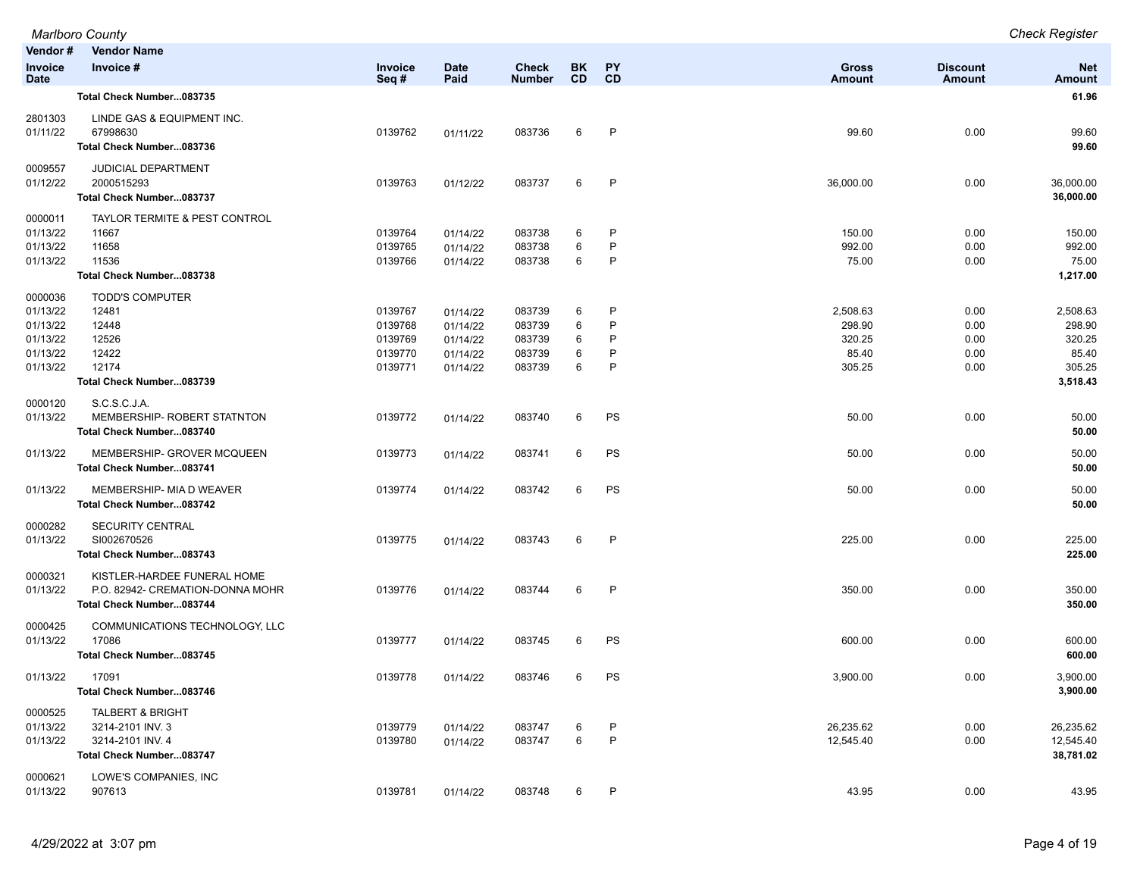|                                                                     | <b>Marlboro County</b>                                                                          |                                                     |                                                          |                                                |                        |                       |                                                 |                                      | <b>Check Register</b>                                       |
|---------------------------------------------------------------------|-------------------------------------------------------------------------------------------------|-----------------------------------------------------|----------------------------------------------------------|------------------------------------------------|------------------------|-----------------------|-------------------------------------------------|--------------------------------------|-------------------------------------------------------------|
| Vendor#<br>Invoice<br><b>Date</b>                                   | <b>Vendor Name</b><br>Invoice #                                                                 | Invoice<br>Seq#                                     | <b>Date</b><br>Paid                                      | <b>Check</b><br><b>Number</b>                  | <b>BK</b><br><b>CD</b> | <b>PY</b><br>CD       | <b>Gross</b><br><b>Amount</b>                   | <b>Discount</b><br>Amount            | <b>Net</b><br>Amount                                        |
|                                                                     | Total Check Number083735                                                                        |                                                     |                                                          |                                                |                        |                       |                                                 |                                      | 61.96                                                       |
| 2801303<br>01/11/22                                                 | LINDE GAS & EQUIPMENT INC.<br>67998630<br>Total Check Number083736                              | 0139762                                             | 01/11/22                                                 | 083736                                         | 6                      | P                     | 99.60                                           | 0.00                                 | 99.60<br>99.60                                              |
| 0009557<br>01/12/22                                                 | JUDICIAL DEPARTMENT<br>2000515293<br>Total Check Number083737                                   | 0139763                                             | 01/12/22                                                 | 083737                                         | 6                      | $\mathsf{P}$          | 36,000.00                                       | 0.00                                 | 36,000.00<br>36,000.00                                      |
| 0000011<br>01/13/22<br>01/13/22<br>01/13/22                         | TAYLOR TERMITE & PEST CONTROL<br>11667<br>11658<br>11536<br>Total Check Number083738            | 0139764<br>0139765<br>0139766                       | 01/14/22<br>01/14/22<br>01/14/22                         | 083738<br>083738<br>083738                     | 6<br>6<br>6            | P<br>P<br>P           | 150.00<br>992.00<br>75.00                       | 0.00<br>0.00<br>0.00                 | 150.00<br>992.00<br>75.00<br>1,217.00                       |
| 0000036<br>01/13/22<br>01/13/22<br>01/13/22<br>01/13/22<br>01/13/22 | <b>TODD'S COMPUTER</b><br>12481<br>12448<br>12526<br>12422<br>12174<br>Total Check Number083739 | 0139767<br>0139768<br>0139769<br>0139770<br>0139771 | 01/14/22<br>01/14/22<br>01/14/22<br>01/14/22<br>01/14/22 | 083739<br>083739<br>083739<br>083739<br>083739 | 6<br>6<br>6<br>6<br>6  | P<br>P<br>P<br>P<br>P | 2,508.63<br>298.90<br>320.25<br>85.40<br>305.25 | 0.00<br>0.00<br>0.00<br>0.00<br>0.00 | 2,508.63<br>298.90<br>320.25<br>85.40<br>305.25<br>3,518.43 |
| 0000120<br>01/13/22                                                 | S.C.S.C.J.A.<br>MEMBERSHIP- ROBERT STATNTON<br>Total Check Number083740                         | 0139772                                             | 01/14/22                                                 | 083740                                         | 6                      | PS                    | 50.00                                           | 0.00                                 | 50.00<br>50.00                                              |
| 01/13/22                                                            | MEMBERSHIP- GROVER MCQUEEN<br>Total Check Number083741                                          | 0139773                                             | 01/14/22                                                 | 083741                                         | 6                      | PS                    | 50.00                                           | 0.00                                 | 50.00<br>50.00                                              |
| 01/13/22                                                            | MEMBERSHIP- MIA D WEAVER<br>Total Check Number083742                                            | 0139774                                             | 01/14/22                                                 | 083742                                         | 6                      | PS                    | 50.00                                           | 0.00                                 | 50.00<br>50.00                                              |
| 0000282<br>01/13/22                                                 | SECURITY CENTRAL<br>SI002670526<br>Total Check Number083743                                     | 0139775                                             | 01/14/22                                                 | 083743                                         | 6                      | P                     | 225.00                                          | 0.00                                 | 225.00<br>225.00                                            |
| 0000321<br>01/13/22                                                 | KISTLER-HARDEE FUNERAL HOME<br>P.O. 82942- CREMATION-DONNA MOHR<br>Total Check Number083744     | 0139776                                             | 01/14/22                                                 | 083744                                         | 6                      | P                     | 350.00                                          | 0.00                                 | 350.00<br>350.00                                            |
| 0000425<br>01/13/22                                                 | COMMUNICATIONS TECHNOLOGY, LLC<br>17086<br>Total Check Number083745                             | 0139777                                             | 01/14/22                                                 | 083745                                         | 6                      | PS                    | 600.00                                          | 0.00                                 | 600.00<br>600.00                                            |
| 01/13/22                                                            | 17091<br>Total Check Number083746                                                               | 0139778                                             | 01/14/22                                                 | 083746                                         | 6                      | PS                    | 3,900.00                                        | 0.00                                 | 3,900.00<br>3,900.00                                        |
| 0000525<br>01/13/22<br>01/13/22                                     | <b>TALBERT &amp; BRIGHT</b><br>3214-2101 INV. 3<br>3214-2101 INV. 4<br>Total Check Number083747 | 0139779<br>0139780                                  | 01/14/22<br>01/14/22                                     | 083747<br>083747                               | 6<br>6                 | P<br>$\mathsf{P}$     | 26,235.62<br>12,545.40                          | 0.00<br>0.00                         | 26,235.62<br>12,545.40<br>38,781.02                         |
| 0000621<br>01/13/22                                                 | LOWE'S COMPANIES, INC<br>907613                                                                 | 0139781                                             | 01/14/22                                                 | 083748                                         | 6                      | P                     | 43.95                                           | 0.00                                 | 43.95                                                       |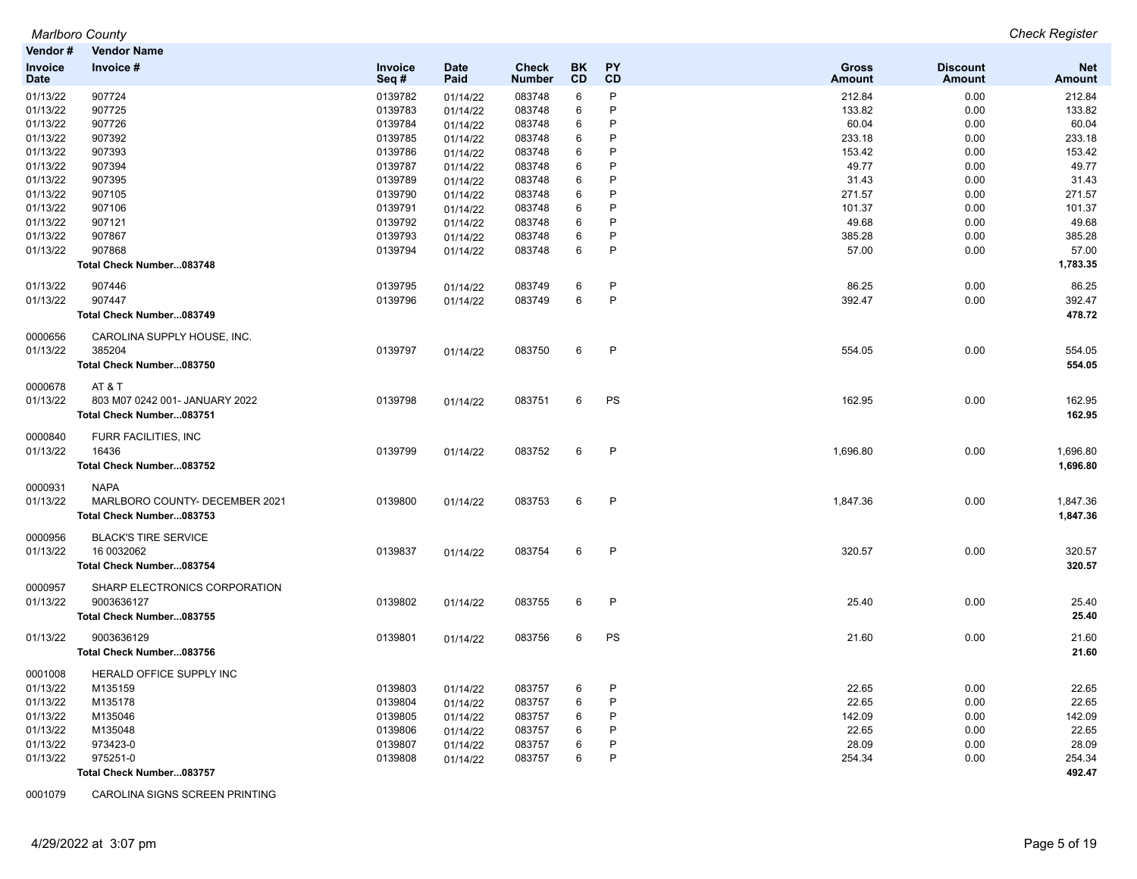| Vendor#                | <b>Vendor Name</b>             |                 |                     |                               |                 |                 |                               |                                  |                             |
|------------------------|--------------------------------|-----------------|---------------------|-------------------------------|-----------------|-----------------|-------------------------------|----------------------------------|-----------------------------|
| Invoice<br><b>Date</b> | Invoice #                      | Invoice<br>Seq# | <b>Date</b><br>Paid | <b>Check</b><br><b>Number</b> | <b>BK</b><br>CD | <b>PY</b><br>CD | <b>Gross</b><br><b>Amount</b> | <b>Discount</b><br><b>Amount</b> | <b>Net</b><br><b>Amount</b> |
| 01/13/22               | 907724                         | 0139782         | 01/14/22            | 083748                        | 6               | P               | 212.84                        | 0.00                             | 212.84                      |
| 01/13/22               | 907725                         | 0139783         | 01/14/22            | 083748                        | 6               | P               | 133.82                        | 0.00                             | 133.82                      |
| 01/13/22               | 907726                         | 0139784         | 01/14/22            | 083748                        | 6               | P               | 60.04                         | 0.00                             | 60.04                       |
| 01/13/22               | 907392                         | 0139785         | 01/14/22            | 083748                        | 6               | P               | 233.18                        | 0.00                             | 233.18                      |
| 01/13/22               | 907393                         | 0139786         | 01/14/22            | 083748                        | 6               | Þ               | 153.42                        | 0.00                             | 153.42                      |
| 01/13/22               | 907394                         | 0139787         | 01/14/22            | 083748                        | 6               | P               | 49.77                         | 0.00                             | 49.77                       |
| 01/13/22               | 907395                         | 0139789         | 01/14/22            | 083748                        | $\,6$           | Þ               | 31.43                         | 0.00                             | 31.43                       |
| 01/13/22               | 907105                         | 0139790         | 01/14/22            | 083748                        | 6               | P               | 271.57                        | 0.00                             | 271.57                      |
| 01/13/22               | 907106                         | 0139791         | 01/14/22            | 083748                        | 6               | P               | 101.37                        | 0.00                             | 101.37                      |
| 01/13/22               | 907121                         | 0139792         | 01/14/22            | 083748                        | 6               | P               | 49.68                         | 0.00                             | 49.68                       |
| 01/13/22               | 907867                         | 0139793         | 01/14/22            | 083748                        | 6               | P               | 385.28                        | 0.00                             | 385.28                      |
| 01/13/22               | 907868                         | 0139794         | 01/14/22            | 083748                        | 6               | P               | 57.00                         | 0.00                             | 57.00                       |
|                        | Total Check Number083748       |                 |                     |                               |                 |                 |                               |                                  | 1,783.35                    |
| 01/13/22               | 907446                         | 0139795         | 01/14/22            | 083749                        | 6               | P               | 86.25                         | 0.00                             | 86.25                       |
| 01/13/22               | 907447                         | 0139796         | 01/14/22            | 083749                        | 6               | P               | 392.47                        | 0.00                             | 392.47                      |
|                        | Total Check Number083749       |                 |                     |                               |                 |                 |                               |                                  | 478.72                      |
| 0000656                | CAROLINA SUPPLY HOUSE, INC.    |                 |                     |                               |                 |                 |                               |                                  |                             |
| 01/13/22               | 385204                         | 0139797         | 01/14/22            | 083750                        | 6               | P               | 554.05                        | 0.00                             | 554.05                      |
|                        | Total Check Number083750       |                 |                     |                               |                 |                 |                               |                                  | 554.05                      |
| 0000678                | AT & T                         |                 |                     |                               |                 |                 |                               |                                  |                             |
| 01/13/22               | 803 M07 0242 001- JANUARY 2022 | 0139798         | 01/14/22            | 083751                        | 6               | PS              | 162.95                        | 0.00                             | 162.95                      |
|                        | Total Check Number083751       |                 |                     |                               |                 |                 |                               |                                  | 162.95                      |
| 0000840                | FURR FACILITIES, INC           |                 |                     |                               |                 |                 |                               |                                  |                             |
| 01/13/22               | 16436                          | 0139799         | 01/14/22            | 083752                        | 6               | P               | 1,696.80                      | 0.00                             | 1,696.80                    |
|                        | Total Check Number083752       |                 |                     |                               |                 |                 |                               |                                  | 1,696.80                    |
| 0000931                | <b>NAPA</b>                    |                 |                     |                               |                 |                 |                               |                                  |                             |
| 01/13/22               | MARLBORO COUNTY- DECEMBER 2021 | 0139800         | 01/14/22            | 083753                        | 6               | P               | 1,847.36                      | 0.00                             | 1,847.36                    |
|                        | Total Check Number083753       |                 |                     |                               |                 |                 |                               |                                  | 1,847.36                    |
| 0000956                | <b>BLACK'S TIRE SERVICE</b>    |                 |                     |                               |                 |                 |                               |                                  |                             |
| 01/13/22               | 16 0032062                     | 0139837         | 01/14/22            | 083754                        | 6               | $\mathsf{P}$    | 320.57                        | 0.00                             | 320.57                      |
|                        | Total Check Number083754       |                 |                     |                               |                 |                 |                               |                                  | 320.57                      |
| 0000957                | SHARP ELECTRONICS CORPORATION  |                 |                     |                               |                 |                 |                               |                                  |                             |
| 01/13/22               | 9003636127                     | 0139802         | 01/14/22            | 083755                        | 6               | P               | 25.40                         | 0.00                             | 25.40                       |
|                        | Total Check Number083755       |                 |                     |                               |                 |                 |                               |                                  | 25.40                       |
| 01/13/22               | 9003636129                     | 0139801         | 01/14/22            | 083756                        | 6               | PS              | 21.60                         | 0.00                             | 21.60                       |
|                        | Total Check Number083756       |                 |                     |                               |                 |                 |                               |                                  | 21.60                       |
| 0001008                | HERALD OFFICE SUPPLY INC       |                 |                     |                               |                 |                 |                               |                                  |                             |
| 01/13/22               | M135159                        | 0139803         | 01/14/22            | 083757                        | 6               | P               | 22.65                         | 0.00                             | 22.65                       |
| 01/13/22               | M135178                        | 0139804         | 01/14/22            | 083757                        | 6               | P               | 22.65                         | 0.00                             | 22.65                       |
| 01/13/22               | M135046                        | 0139805         | 01/14/22            | 083757                        | 6               | P               | 142.09                        | 0.00                             | 142.09                      |
| 01/13/22               | M135048                        | 0139806         | 01/14/22            | 083757                        | 6               | P               | 22.65                         | 0.00                             | 22.65                       |
| 01/13/22               | 973423-0                       | 0139807         | 01/14/22            | 083757                        | 6               | P               | 28.09                         | 0.00                             | 28.09                       |
| 01/13/22               | 975251-0                       | 0139808         | 01/14/22            | 083757                        | 6               | P               | 254.34                        | 0.00                             | 254.34                      |
|                        | Total Check Number083757       |                 |                     |                               |                 |                 |                               |                                  | 492.47                      |

0001079 CAROLINA SIGNS SCREEN PRINTING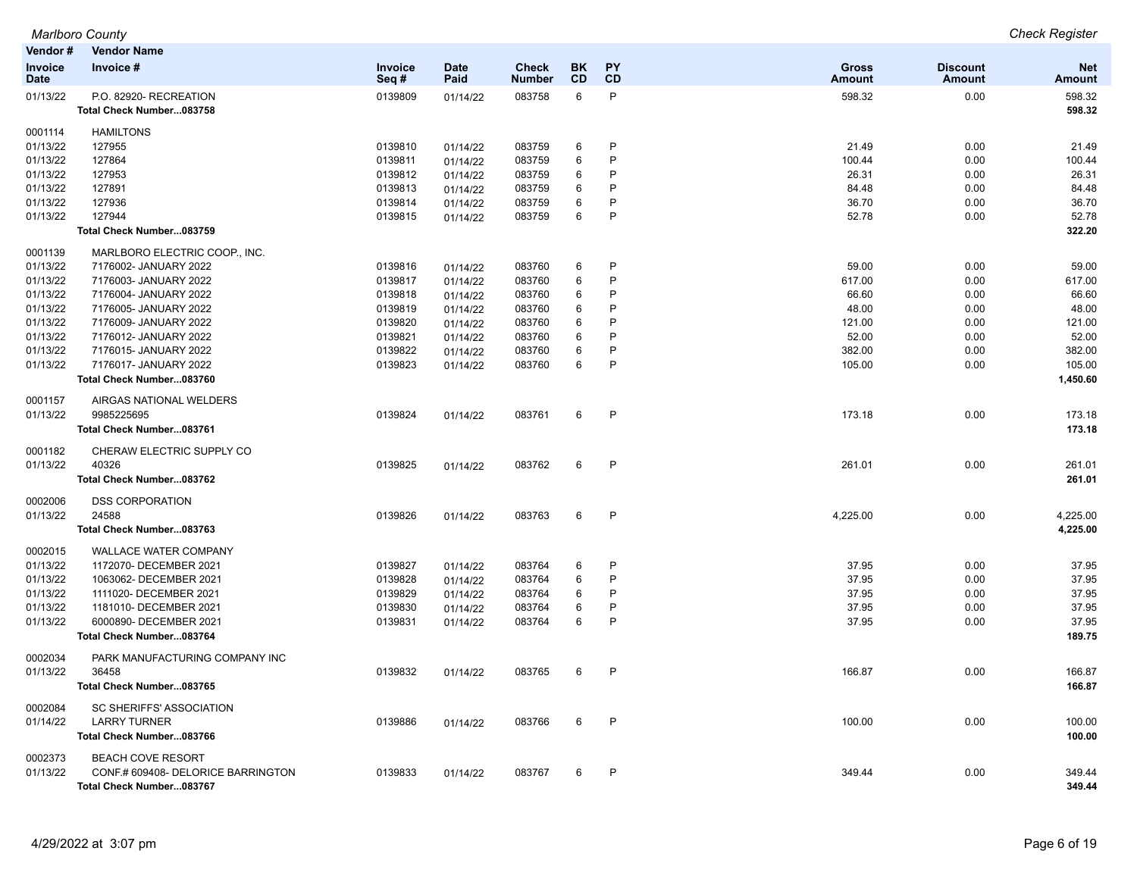| Vendor#                | <b>Vendor Name</b>                                             |                    |                     |                        |                 |                 |                               |                                  |                             |
|------------------------|----------------------------------------------------------------|--------------------|---------------------|------------------------|-----------------|-----------------|-------------------------------|----------------------------------|-----------------------------|
| Invoice<br><b>Date</b> | Invoice #                                                      | Invoice<br>Seq#    | <b>Date</b><br>Paid | <b>Check</b><br>Number | BK<br><b>CD</b> | <b>PY</b><br>CD | <b>Gross</b><br><b>Amount</b> | <b>Discount</b><br><b>Amount</b> | <b>Net</b><br><b>Amount</b> |
| 01/13/22               | P.O. 82920- RECREATION<br>Total Check Number083758             | 0139809            | 01/14/22            | 083758                 | 6               | P               | 598.32                        | 0.00                             | 598.32<br>598.32            |
| 0001114                | <b>HAMILTONS</b>                                               |                    |                     |                        |                 |                 |                               |                                  |                             |
| 01/13/22               | 127955                                                         | 0139810            | 01/14/22            | 083759                 | 6               | P               | 21.49                         | 0.00                             | 21.49                       |
| 01/13/22               | 127864                                                         | 0139811            | 01/14/22            | 083759                 | 6               | P               | 100.44                        | 0.00                             | 100.44                      |
| 01/13/22               | 127953                                                         | 0139812            | 01/14/22            | 083759                 | 6               | P               | 26.31                         | 0.00                             | 26.31                       |
| 01/13/22               | 127891                                                         | 0139813            | 01/14/22            | 083759                 | 6               | P               | 84.48                         | 0.00                             | 84.48                       |
| 01/13/22               | 127936                                                         | 0139814            | 01/14/22            | 083759                 | 6               | P               | 36.70                         | 0.00                             | 36.70                       |
| 01/13/22               | 127944                                                         | 0139815            | 01/14/22            | 083759                 | 6               | P               | 52.78                         | 0.00                             | 52.78                       |
|                        | Total Check Number083759                                       |                    |                     |                        |                 |                 |                               |                                  | 322.20                      |
| 0001139                | MARLBORO ELECTRIC COOP., INC.                                  |                    |                     |                        |                 |                 |                               |                                  |                             |
| 01/13/22               | 7176002- JANUARY 2022                                          | 0139816            | 01/14/22            | 083760                 | 6               | P               | 59.00                         | 0.00                             | 59.00                       |
| 01/13/22               | 7176003- JANUARY 2022                                          | 0139817            | 01/14/22            | 083760                 | 6               | P               | 617.00                        | 0.00                             | 617.00                      |
| 01/13/22               | 7176004- JANUARY 2022                                          | 0139818            | 01/14/22            | 083760                 | 6               | P               | 66.60                         | 0.00                             | 66.60                       |
| 01/13/22               | 7176005- JANUARY 2022                                          | 0139819            | 01/14/22            | 083760                 | 6               | P               | 48.00                         | 0.00                             | 48.00                       |
| 01/13/22               | 7176009- JANUARY 2022                                          | 0139820            | 01/14/22            | 083760                 | 6               | P               | 121.00                        | 0.00                             | 121.00                      |
| 01/13/22               | 7176012- JANUARY 2022                                          | 0139821            | 01/14/22            | 083760                 | 6               | P               | 52.00                         | 0.00                             | 52.00                       |
| 01/13/22               | 7176015- JANUARY 2022                                          | 0139822            | 01/14/22            | 083760                 | 6               | P               | 382.00                        | 0.00                             | 382.00                      |
| 01/13/22               | 7176017- JANUARY 2022                                          | 0139823            | 01/14/22            | 083760                 | 6               | P               | 105.00                        | 0.00                             | 105.00                      |
|                        | Total Check Number083760                                       |                    |                     |                        |                 |                 |                               |                                  | 1,450.60                    |
| 0001157                | AIRGAS NATIONAL WELDERS                                        |                    |                     |                        |                 |                 |                               |                                  |                             |
| 01/13/22               | 9985225695                                                     | 0139824            | 01/14/22            | 083761                 | 6               | $\mathsf{P}$    | 173.18                        | 0.00                             | 173.18                      |
|                        | Total Check Number083761                                       |                    |                     |                        |                 |                 |                               |                                  | 173.18                      |
| 0001182                | CHERAW ELECTRIC SUPPLY CO                                      |                    |                     |                        |                 |                 |                               |                                  |                             |
| 01/13/22               | 40326                                                          | 0139825            | 01/14/22            | 083762                 | 6               | P               | 261.01                        | 0.00                             | 261.01                      |
|                        | Total Check Number083762                                       |                    |                     |                        |                 |                 |                               |                                  | 261.01                      |
| 0002006                | <b>DSS CORPORATION</b>                                         |                    |                     |                        |                 |                 |                               |                                  |                             |
| 01/13/22               | 24588                                                          | 0139826            | 01/14/22            | 083763                 | 6               | $\mathsf{P}$    | 4,225.00                      | 0.00                             | 4,225.00                    |
|                        | Total Check Number083763                                       |                    |                     |                        |                 |                 |                               |                                  | 4,225.00                    |
| 0002015                | <b>WALLACE WATER COMPANY</b>                                   |                    |                     |                        |                 |                 |                               |                                  |                             |
| 01/13/22               | 1172070- DECEMBER 2021                                         | 0139827            | 01/14/22            | 083764                 | 6               | P<br>P          | 37.95                         | 0.00                             | 37.95                       |
| 01/13/22               | 1063062- DECEMBER 2021                                         | 0139828            | 01/14/22            | 083764                 | 6               | P               | 37.95                         | 0.00                             | 37.95                       |
| 01/13/22<br>01/13/22   | 1111020- DECEMBER 2021                                         | 0139829<br>0139830 | 01/14/22            | 083764                 | 6               | P               | 37.95<br>37.95                | 0.00                             | 37.95<br>37.95              |
| 01/13/22               | 1181010- DECEMBER 2021<br>6000890- DECEMBER 2021               | 0139831            | 01/14/22            | 083764<br>083764       | 6<br>6          | P               | 37.95                         | 0.00<br>0.00                     | 37.95                       |
|                        |                                                                |                    | 01/14/22            |                        |                 |                 |                               |                                  | 189.75                      |
|                        | Total Check Number083764                                       |                    |                     |                        |                 |                 |                               |                                  |                             |
| 0002034                | PARK MANUFACTURING COMPANY INC                                 |                    |                     |                        |                 |                 |                               |                                  |                             |
| 01/13/22               | 36458                                                          | 0139832            | 01/14/22            | 083765                 | 6               | P               | 166.87                        | 0.00                             | 166.87                      |
|                        | Total Check Number083765                                       |                    |                     |                        |                 |                 |                               |                                  | 166.87                      |
| 0002084<br>01/14/22    | SC SHERIFFS' ASSOCIATION<br><b>LARRY TURNER</b>                | 0139886            |                     |                        | 6               | P               | 100.00                        | 0.00                             | 100.00                      |
|                        |                                                                |                    | 01/14/22            | 083766                 |                 |                 |                               |                                  | 100.00                      |
|                        | Total Check Number083766                                       |                    |                     |                        |                 |                 |                               |                                  |                             |
| 0002373<br>01/13/22    | <b>BEACH COVE RESORT</b><br>CONF.# 609408- DELORICE BARRINGTON | 0139833            | 01/14/22            | 083767                 | 6               | P               | 349.44                        | 0.00                             | 349.44                      |
|                        | Total Check Number083767                                       |                    |                     |                        |                 |                 |                               |                                  | 349.44                      |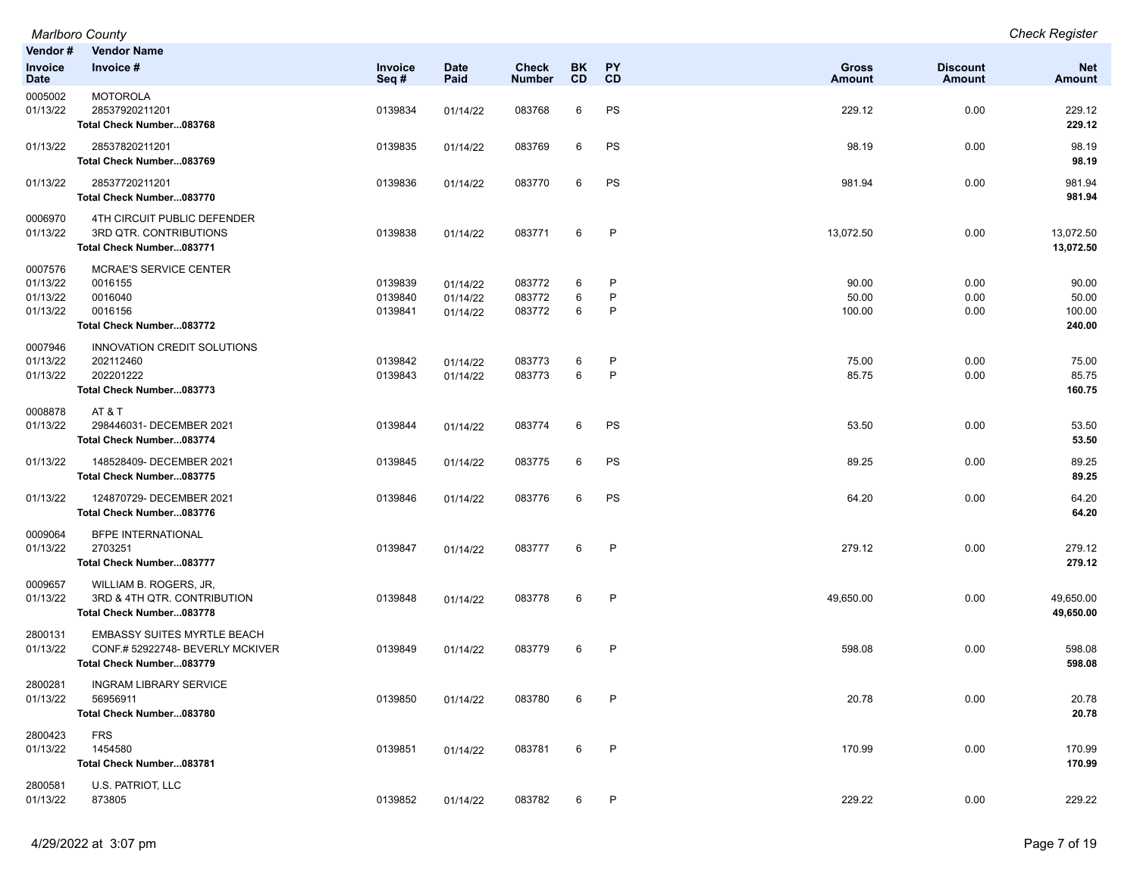| Vendor#                                     | <b>Vendor Name</b>                                                                                 |                               |                                  |                               |                 |                 |                          |                                  |                                    |
|---------------------------------------------|----------------------------------------------------------------------------------------------------|-------------------------------|----------------------------------|-------------------------------|-----------------|-----------------|--------------------------|----------------------------------|------------------------------------|
| <b>Invoice</b><br><b>Date</b>               | Invoice #                                                                                          | Invoice<br>Seq#               | <b>Date</b><br>Paid              | <b>Check</b><br><b>Number</b> | BK<br><b>CD</b> | <b>PY</b><br>CD | <b>Gross</b><br>Amount   | <b>Discount</b><br><b>Amount</b> | <b>Net</b><br>Amount               |
| 0005002<br>01/13/22                         | <b>MOTOROLA</b><br>28537920211201<br>Total Check Number083768                                      | 0139834                       | 01/14/22                         | 083768                        | 6               | PS              | 229.12                   | 0.00                             | 229.12<br>229.12                   |
| 01/13/22                                    | 28537820211201<br>Total Check Number083769                                                         | 0139835                       | 01/14/22                         | 083769                        | 6               | PS              | 98.19                    | 0.00                             | 98.19<br>98.19                     |
| 01/13/22                                    | 28537720211201<br>Total Check Number083770                                                         | 0139836                       | 01/14/22                         | 083770                        | 6               | PS              | 981.94                   | 0.00                             | 981.94<br>981.94                   |
| 0006970<br>01/13/22                         | 4TH CIRCUIT PUBLIC DEFENDER<br>3RD QTR. CONTRIBUTIONS<br>Total Check Number083771                  | 0139838                       | 01/14/22                         | 083771                        | 6               | P               | 13,072.50                | 0.00                             | 13,072.50<br>13,072.50             |
| 0007576<br>01/13/22<br>01/13/22<br>01/13/22 | <b>MCRAE'S SERVICE CENTER</b><br>0016155<br>0016040<br>0016156<br>Total Check Number083772         | 0139839<br>0139840<br>0139841 | 01/14/22<br>01/14/22<br>01/14/22 | 083772<br>083772<br>083772    | 6<br>6<br>6     | P<br>P<br>P     | 90.00<br>50.00<br>100.00 | 0.00<br>0.00<br>0.00             | 90.00<br>50.00<br>100.00<br>240.00 |
| 0007946<br>01/13/22<br>01/13/22             | INNOVATION CREDIT SOLUTIONS<br>202112460<br>202201222<br>Total Check Number083773                  | 0139842<br>0139843            | 01/14/22<br>01/14/22             | 083773<br>083773              | 6<br>6          | P<br>P          | 75.00<br>85.75           | 0.00<br>0.00                     | 75.00<br>85.75<br>160.75           |
| 0008878<br>01/13/22                         | AT & T<br>298446031- DECEMBER 2021<br>Total Check Number083774                                     | 0139844                       | 01/14/22                         | 083774                        | 6               | PS              | 53.50                    | 0.00                             | 53.50<br>53.50                     |
| 01/13/22                                    | 148528409- DECEMBER 2021<br>Total Check Number083775                                               | 0139845                       | 01/14/22                         | 083775                        | 6               | PS              | 89.25                    | 0.00                             | 89.25<br>89.25                     |
| 01/13/22                                    | 124870729- DECEMBER 2021<br>Total Check Number083776                                               | 0139846                       | 01/14/22                         | 083776                        | 6               | PS              | 64.20                    | 0.00                             | 64.20<br>64.20                     |
| 0009064<br>01/13/22                         | <b>BFPE INTERNATIONAL</b><br>2703251<br>Total Check Number083777                                   | 0139847                       | 01/14/22                         | 083777                        | 6               | P               | 279.12                   | 0.00                             | 279.12<br>279.12                   |
| 0009657<br>01/13/22                         | WILLIAM B. ROGERS, JR,<br>3RD & 4TH QTR. CONTRIBUTION<br>Total Check Number083778                  | 0139848                       | 01/14/22                         | 083778                        | 6               | P               | 49,650.00                | 0.00                             | 49,650.00<br>49,650.00             |
| 2800131<br>01/13/22                         | <b>EMBASSY SUITES MYRTLE BEACH</b><br>CONF.# 52922748- BEVERLY MCKIVER<br>Total Check Number083779 | 0139849                       | 01/14/22                         | 083779                        | 6               | $\mathsf{P}$    | 598.08                   | 0.00                             | 598.08<br>598.08                   |
| 2800281<br>01/13/22                         | <b>INGRAM LIBRARY SERVICE</b><br>56956911<br>Total Check Number083780                              | 0139850                       | 01/14/22                         | 083780                        | 6               | P               | 20.78                    | 0.00                             | 20.78<br>20.78                     |
| 2800423<br>01/13/22                         | <b>FRS</b><br>1454580<br>Total Check Number083781                                                  | 0139851                       | 01/14/22                         | 083781                        | 6               | P               | 170.99                   | 0.00                             | 170.99<br>170.99                   |
| 2800581<br>01/13/22                         | U.S. PATRIOT, LLC<br>873805                                                                        | 0139852                       | 01/14/22                         | 083782                        | 6               | P               | 229.22                   | 0.00                             | 229.22                             |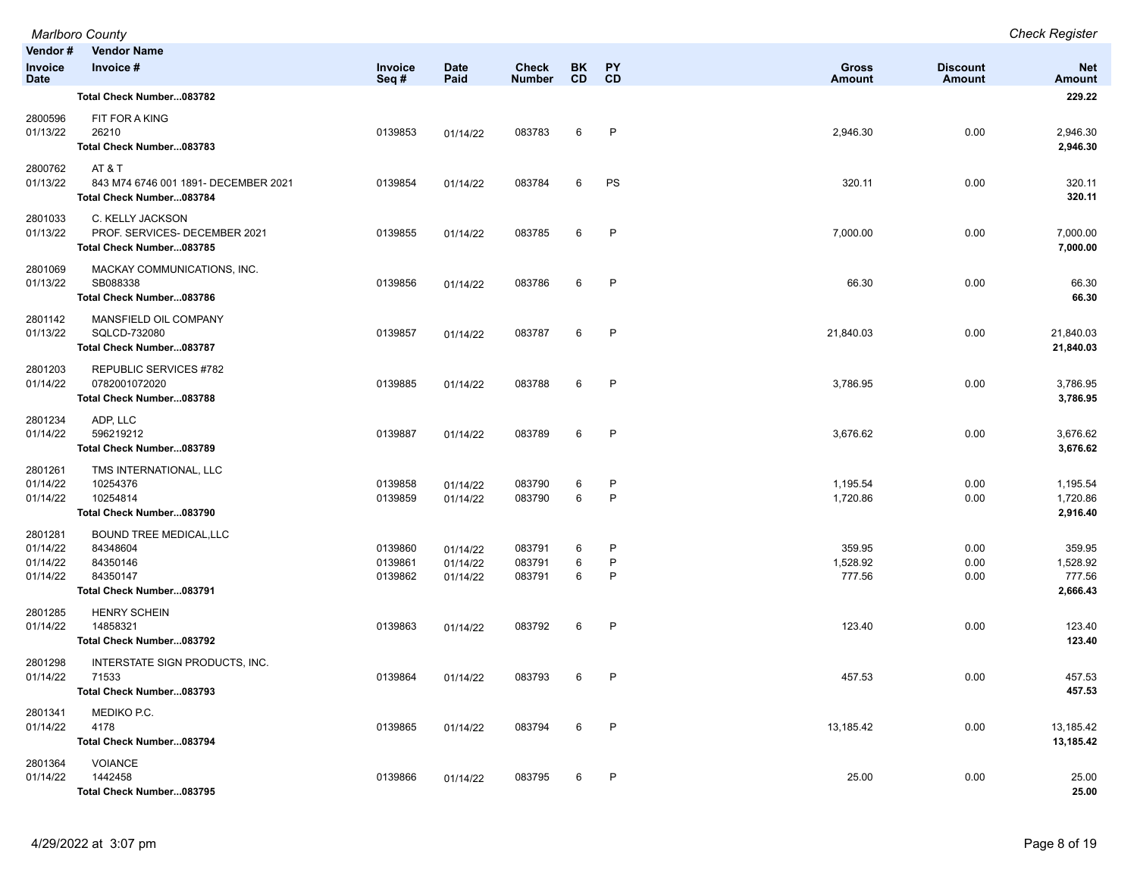|                                             | Marlboro County                                                                                |                               |                                  |                               |                 |                              |                               |                           | <b>Check Register</b>                    |
|---------------------------------------------|------------------------------------------------------------------------------------------------|-------------------------------|----------------------------------|-------------------------------|-----------------|------------------------------|-------------------------------|---------------------------|------------------------------------------|
| Vendor#<br>Invoice<br><b>Date</b>           | <b>Vendor Name</b><br>Invoice #                                                                | Invoice<br>Seq#               | <b>Date</b><br>Paid              | <b>Check</b><br><b>Number</b> | BK<br><b>CD</b> | <b>PY</b><br>CD              | <b>Gross</b><br><b>Amount</b> | <b>Discount</b><br>Amount | <b>Net</b><br><b>Amount</b>              |
|                                             | Total Check Number083782                                                                       |                               |                                  |                               |                 |                              |                               |                           | 229.22                                   |
| 2800596<br>01/13/22                         | FIT FOR A KING<br>26210<br>Total Check Number083783                                            | 0139853                       | 01/14/22                         | 083783                        | 6               | $\mathsf{P}$                 | 2,946.30                      | 0.00                      | 2,946.30<br>2,946.30                     |
| 2800762<br>01/13/22                         | AT & T<br>843 M74 6746 001 1891- DECEMBER 2021<br>Total Check Number083784                     | 0139854                       | 01/14/22                         | 083784                        | 6               | PS                           | 320.11                        | 0.00                      | 320.11<br>320.11                         |
| 2801033<br>01/13/22                         | C. KELLY JACKSON<br>PROF. SERVICES- DECEMBER 2021<br>Total Check Number083785                  | 0139855                       | 01/14/22                         | 083785                        | 6               | $\mathsf{P}$                 | 7,000.00                      | 0.00                      | 7,000.00<br>7,000.00                     |
| 2801069<br>01/13/22                         | MACKAY COMMUNICATIONS, INC.<br>SB088338<br>Total Check Number083786                            | 0139856                       | 01/14/22                         | 083786                        | 6               | $\mathsf{P}$                 | 66.30                         | 0.00                      | 66.30<br>66.30                           |
| 2801142<br>01/13/22                         | MANSFIELD OIL COMPANY<br>SQLCD-732080<br>Total Check Number083787                              | 0139857                       | 01/14/22                         | 083787                        | 6               | $\mathsf{P}$                 | 21,840.03                     | 0.00                      | 21,840.03<br>21,840.03                   |
| 2801203<br>01/14/22                         | <b>REPUBLIC SERVICES #782</b><br>0782001072020<br>Total Check Number083788                     | 0139885                       | 01/14/22                         | 083788                        | 6               | P                            | 3,786.95                      | 0.00                      | 3,786.95<br>3,786.95                     |
| 2801234<br>01/14/22                         | ADP, LLC<br>596219212<br>Total Check Number083789                                              | 0139887                       | 01/14/22                         | 083789                        | 6               | $\mathsf{P}$                 | 3,676.62                      | 0.00                      | 3,676.62<br>3,676.62                     |
| 2801261<br>01/14/22<br>01/14/22             | TMS INTERNATIONAL, LLC<br>10254376<br>10254814<br>Total Check Number083790                     | 0139858<br>0139859            | 01/14/22<br>01/14/22             | 083790<br>083790              | 6<br>6          | $\mathsf{P}$<br>$\mathsf{P}$ | 1,195.54<br>1,720.86          | 0.00<br>0.00              | 1,195.54<br>1,720.86<br>2,916.40         |
| 2801281<br>01/14/22<br>01/14/22<br>01/14/22 | <b>BOUND TREE MEDICAL, LLC</b><br>84348604<br>84350146<br>84350147<br>Total Check Number083791 | 0139860<br>0139861<br>0139862 | 01/14/22<br>01/14/22<br>01/14/22 | 083791<br>083791<br>083791    | 6<br>6<br>6     | P<br>P<br>P                  | 359.95<br>1,528.92<br>777.56  | 0.00<br>0.00<br>0.00      | 359.95<br>1,528.92<br>777.56<br>2,666.43 |
| 2801285<br>01/14/22                         | <b>HENRY SCHEIN</b><br>14858321<br>Total Check Number083792                                    | 0139863                       | 01/14/22                         | 083792                        | 6               | $\mathsf{P}$                 | 123.40                        | 0.00                      | 123.40<br>123.40                         |
| 2801298<br>01/14/22                         | INTERSTATE SIGN PRODUCTS, INC.<br>71533<br>Total Check Number083793                            | 0139864                       | 01/14/22                         | 083793                        | 6               | $\mathsf P$                  | 457.53                        | 0.00                      | 457.53<br>457.53                         |
| 2801341<br>01/14/22                         | MEDIKO P.C.<br>4178<br>Total Check Number083794                                                | 0139865                       | 01/14/22                         | 083794                        | 6               | $\mathsf{P}$                 | 13,185.42                     | 0.00                      | 13,185.42<br>13,185.42                   |
| 2801364<br>01/14/22                         | <b>VOIANCE</b><br>1442458<br>Total Check Number083795                                          | 0139866                       | 01/14/22                         | 083795                        | 6               | $\mathsf{P}$                 | 25.00                         | 0.00                      | 25.00<br>25.00                           |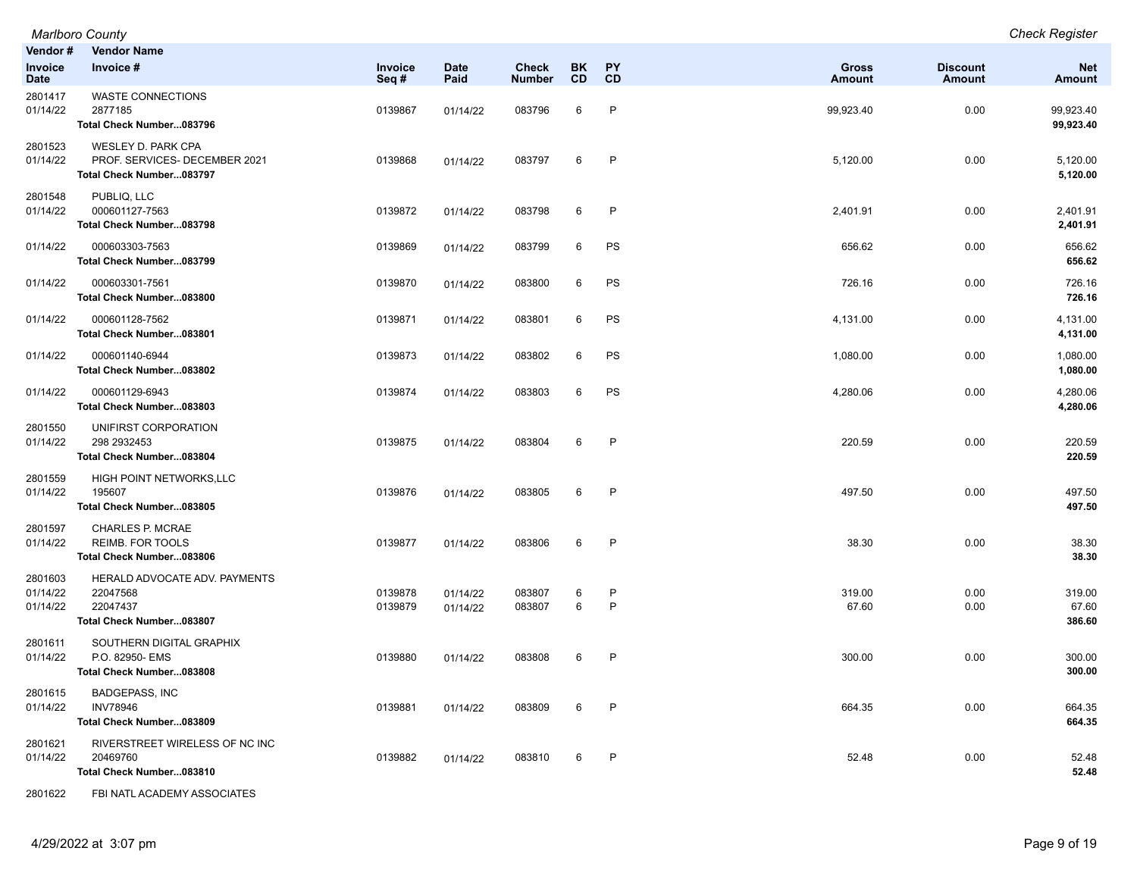*Marlboro County Check Register Marlboro County*<br>**Vendor # Vendor** 

| vendor #<br>Invoice<br><b>Date</b> | vendor name<br>Invoice #                                                          | Invoice<br>Seq#    | <b>Date</b><br>Paid  | <b>Check</b><br><b>Number</b> | BK.<br><b>CD</b> | <b>PY</b><br><b>CD</b> | <b>Gross</b><br><b>Amount</b> | <b>Discount</b><br>Amount | <b>Net</b><br>Amount      |
|------------------------------------|-----------------------------------------------------------------------------------|--------------------|----------------------|-------------------------------|------------------|------------------------|-------------------------------|---------------------------|---------------------------|
| 2801417<br>01/14/22                | <b>WASTE CONNECTIONS</b><br>2877185<br>Total Check Number083796                   | 0139867            | 01/14/22             | 083796                        | 6                | P                      | 99,923.40                     | 0.00                      | 99,923.40<br>99,923.40    |
| 2801523<br>01/14/22                | WESLEY D. PARK CPA<br>PROF. SERVICES- DECEMBER 2021<br>Total Check Number083797   | 0139868            | 01/14/22             | 083797                        | 6                | P                      | 5,120.00                      | 0.00                      | 5,120.00<br>5,120.00      |
| 2801548<br>01/14/22                | PUBLIQ, LLC<br>000601127-7563<br>Total Check Number083798                         | 0139872            | 01/14/22             | 083798                        | 6                | P                      | 2,401.91                      | 0.00                      | 2,401.91<br>2,401.91      |
| 01/14/22                           | 000603303-7563<br>Total Check Number083799                                        | 0139869            | 01/14/22             | 083799                        | 6                | PS                     | 656.62                        | 0.00                      | 656.62<br>656.62          |
| 01/14/22                           | 000603301-7561<br>Total Check Number083800                                        | 0139870            | 01/14/22             | 083800                        | 6                | PS                     | 726.16                        | 0.00                      | 726.16<br>726.16          |
| 01/14/22                           | 000601128-7562<br>Total Check Number083801                                        | 0139871            | 01/14/22             | 083801                        | 6                | PS                     | 4,131.00                      | 0.00                      | 4,131.00<br>4,131.00      |
| 01/14/22                           | 000601140-6944<br>Total Check Number083802                                        | 0139873            | 01/14/22             | 083802                        | 6                | ${\sf PS}$             | 1,080.00                      | 0.00                      | 1,080.00<br>1,080.00      |
| 01/14/22                           | 000601129-6943<br>Total Check Number083803                                        | 0139874            | 01/14/22             | 083803                        | 6                | PS                     | 4,280.06                      | 0.00                      | 4,280.06<br>4,280.06      |
| 2801550<br>01/14/22                | UNIFIRST CORPORATION<br>298 2932453<br>Total Check Number083804                   | 0139875            | 01/14/22             | 083804                        | 6                | $\mathsf{P}$           | 220.59                        | 0.00                      | 220.59<br>220.59          |
| 2801559<br>01/14/22                | HIGH POINT NETWORKS, LLC<br>195607<br>Total Check Number083805                    | 0139876            | 01/14/22             | 083805                        | 6                | $\mathsf{P}$           | 497.50                        | 0.00                      | 497.50<br>497.50          |
| 2801597<br>01/14/22                | CHARLES P. MCRAE<br><b>REIMB. FOR TOOLS</b><br>Total Check Number083806           | 0139877            | 01/14/22             | 083806                        | 6                | $\mathsf{P}$           | 38.30                         | 0.00                      | 38.30<br>38.30            |
| 2801603<br>01/14/22<br>01/14/22    | HERALD ADVOCATE ADV. PAYMENTS<br>22047568<br>22047437<br>Total Check Number083807 | 0139878<br>0139879 | 01/14/22<br>01/14/22 | 083807<br>083807              | 6<br>6           | $\mathsf{P}$<br>P      | 319.00<br>67.60               | 0.00<br>0.00              | 319.00<br>67.60<br>386.60 |
| 2801611<br>01/14/22                | SOUTHERN DIGITAL GRAPHIX<br>P.O. 82950- EMS<br>Total Check Number083808           | 0139880            | 01/14/22             | 083808                        | 6                | $\mathsf{P}$           | 300.00                        | 0.00                      | 300.00<br>300.00          |
| 2801615<br>01/14/22                | <b>BADGEPASS, INC</b><br><b>INV78946</b><br>Total Check Number083809              | 0139881            | 01/14/22             | 083809                        | 6                | $\mathsf{P}$           | 664.35                        | 0.00                      | 664.35<br>664.35          |
| 2801621<br>01/14/22                | RIVERSTREET WIRELESS OF NC INC<br>20469760<br>Total Check Number083810            | 0139882            | 01/14/22             | 083810                        | 6                | $\mathsf{P}$           | 52.48                         | 0.00                      | 52.48<br>52.48            |
| 2801622                            | FBI NATL ACADEMY ASSOCIATES                                                       |                    |                      |                               |                  |                        |                               |                           |                           |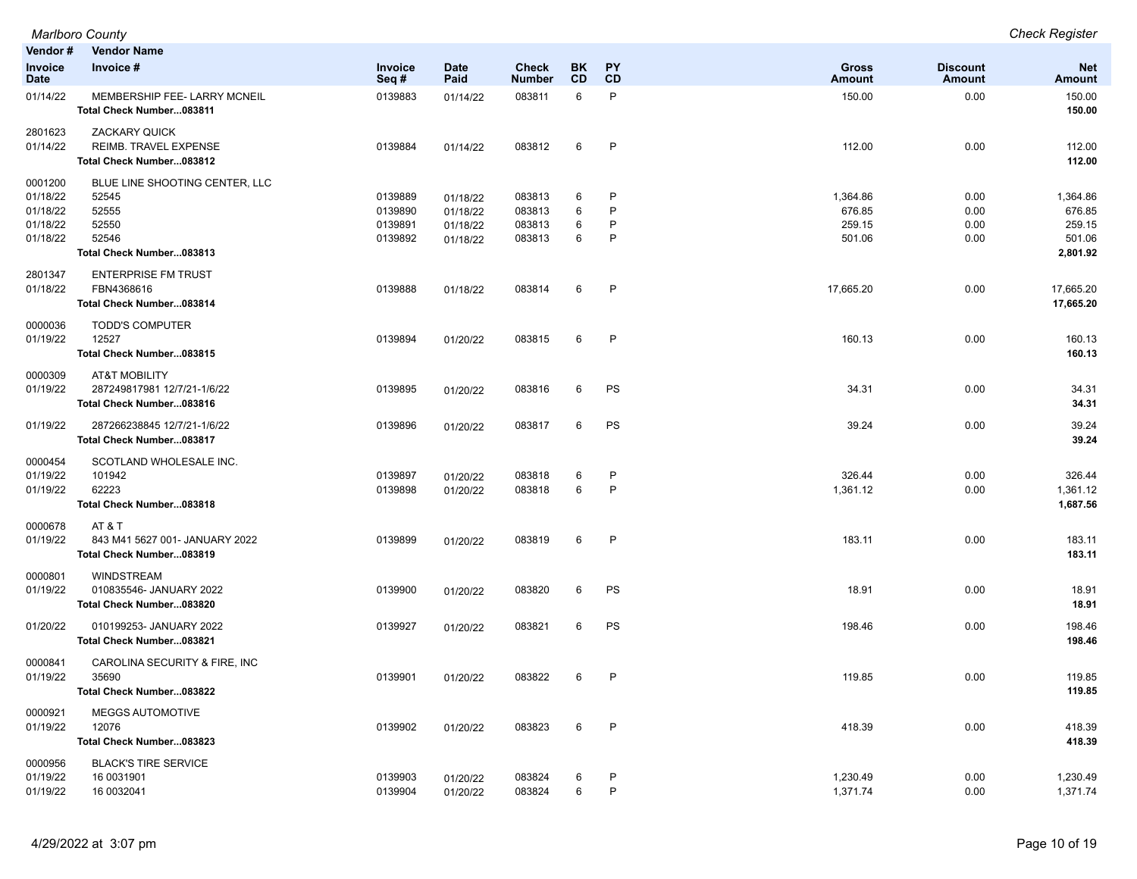| Vendor #<br>Invoice              | <b>Vendor Name</b><br>Invoice #                                                  | <b>Invoice</b>                | <b>Date</b>                      | Check                      | BK.         | <b>PY</b>    | Gross                      | <b>Discount</b>      | <b>Net</b>                     |
|----------------------------------|----------------------------------------------------------------------------------|-------------------------------|----------------------------------|----------------------------|-------------|--------------|----------------------------|----------------------|--------------------------------|
| Date                             |                                                                                  | Seq#                          | Paid                             | <b>Number</b>              | <b>CD</b>   | <b>CD</b>    | Amount                     | Amount               | <b>Amount</b>                  |
| 01/14/22                         | MEMBERSHIP FEE- LARRY MCNEIL<br>Total Check Number083811                         | 0139883                       | 01/14/22                         | 083811                     | 6           | P            | 150.00                     | 0.00                 | 150.00<br>150.00               |
| 2801623<br>01/14/22              | <b>ZACKARY QUICK</b><br><b>REIMB. TRAVEL EXPENSE</b><br>Total Check Number083812 | 0139884                       | 01/14/22                         | 083812                     | 6           | P            | 112.00                     | 0.00                 | 112.00<br>112.00               |
| 0001200<br>01/18/22              | BLUE LINE SHOOTING CENTER, LLC<br>52545                                          | 0139889                       | 01/18/22                         | 083813                     | 6           | P            | 1,364.86                   | 0.00                 | 1,364.86                       |
| 01/18/22<br>01/18/22<br>01/18/22 | 52555<br>52550<br>52546                                                          | 0139890<br>0139891<br>0139892 | 01/18/22<br>01/18/22<br>01/18/22 | 083813<br>083813<br>083813 | 6<br>6<br>6 | P<br>P<br>P  | 676.85<br>259.15<br>501.06 | 0.00<br>0.00<br>0.00 | 676.85<br>259.15<br>501.06     |
|                                  | Total Check Number083813                                                         |                               |                                  |                            |             |              |                            |                      | 2,801.92                       |
| 2801347<br>01/18/22              | <b>ENTERPRISE FM TRUST</b><br>FBN4368616<br>Total Check Number083814             | 0139888                       | 01/18/22                         | 083814                     | 6           | $\mathsf{P}$ | 17,665.20                  | 0.00                 | 17,665.20<br>17,665.20         |
| 0000036<br>01/19/22              | <b>TODD'S COMPUTER</b><br>12527<br>Total Check Number083815                      | 0139894                       | 01/20/22                         | 083815                     | 6           | P            | 160.13                     | 0.00                 | 160.13<br>160.13               |
| 0000309<br>01/19/22              | AT&T MOBILITY<br>287249817981 12/7/21-1/6/22<br>Total Check Number083816         | 0139895                       | 01/20/22                         | 083816                     | 6           | PS           | 34.31                      | 0.00                 | 34.31<br>34.31                 |
| 01/19/22                         | 287266238845 12/7/21-1/6/22<br>Total Check Number083817                          | 0139896                       | 01/20/22                         | 083817                     | 6           | PS           | 39.24                      | 0.00                 | 39.24<br>39.24                 |
| 0000454<br>01/19/22<br>01/19/22  | SCOTLAND WHOLESALE INC.<br>101942<br>62223<br>Total Check Number083818           | 0139897<br>0139898            | 01/20/22<br>01/20/22             | 083818<br>083818           | 6<br>6      | P<br>P       | 326.44<br>1,361.12         | 0.00<br>0.00         | 326.44<br>1,361.12<br>1,687.56 |
| 0000678<br>01/19/22              | AT & T<br>843 M41 5627 001- JANUARY 2022<br>Total Check Number083819             | 0139899                       | 01/20/22                         | 083819                     | 6           | P            | 183.11                     | 0.00                 | 183.11<br>183.11               |
| 0000801<br>01/19/22              | <b>WINDSTREAM</b><br>010835546- JANUARY 2022<br>Total Check Number083820         | 0139900                       | 01/20/22                         | 083820                     | 6           | PS           | 18.91                      | 0.00                 | 18.91<br>18.91                 |
| 01/20/22                         | 010199253- JANUARY 2022<br>Total Check Number083821                              | 0139927                       | 01/20/22                         | 083821                     | 6           | PS           | 198.46                     | 0.00                 | 198.46<br>198.46               |
| 0000841<br>01/19/22              | CAROLINA SECURITY & FIRE, INC<br>35690<br>Total Check Number083822               | 0139901                       | 01/20/22                         | 083822                     | 6           | P            | 119.85                     | 0.00                 | 119.85<br>119.85               |
| 0000921<br>01/19/22              | <b>MEGGS AUTOMOTIVE</b><br>12076<br>Total Check Number083823                     | 0139902                       | 01/20/22                         | 083823                     | 6           | $\mathsf{P}$ | 418.39                     | 0.00                 | 418.39<br>418.39               |
| 0000956<br>01/19/22<br>01/19/22  | <b>BLACK'S TIRE SERVICE</b><br>16 0031901<br>16 0032041                          | 0139903<br>0139904            | 01/20/22<br>01/20/22             | 083824<br>083824           | 6<br>6      | P<br>P       | 1,230.49<br>1,371.74       | 0.00<br>0.00         | 1,230.49<br>1,371.74           |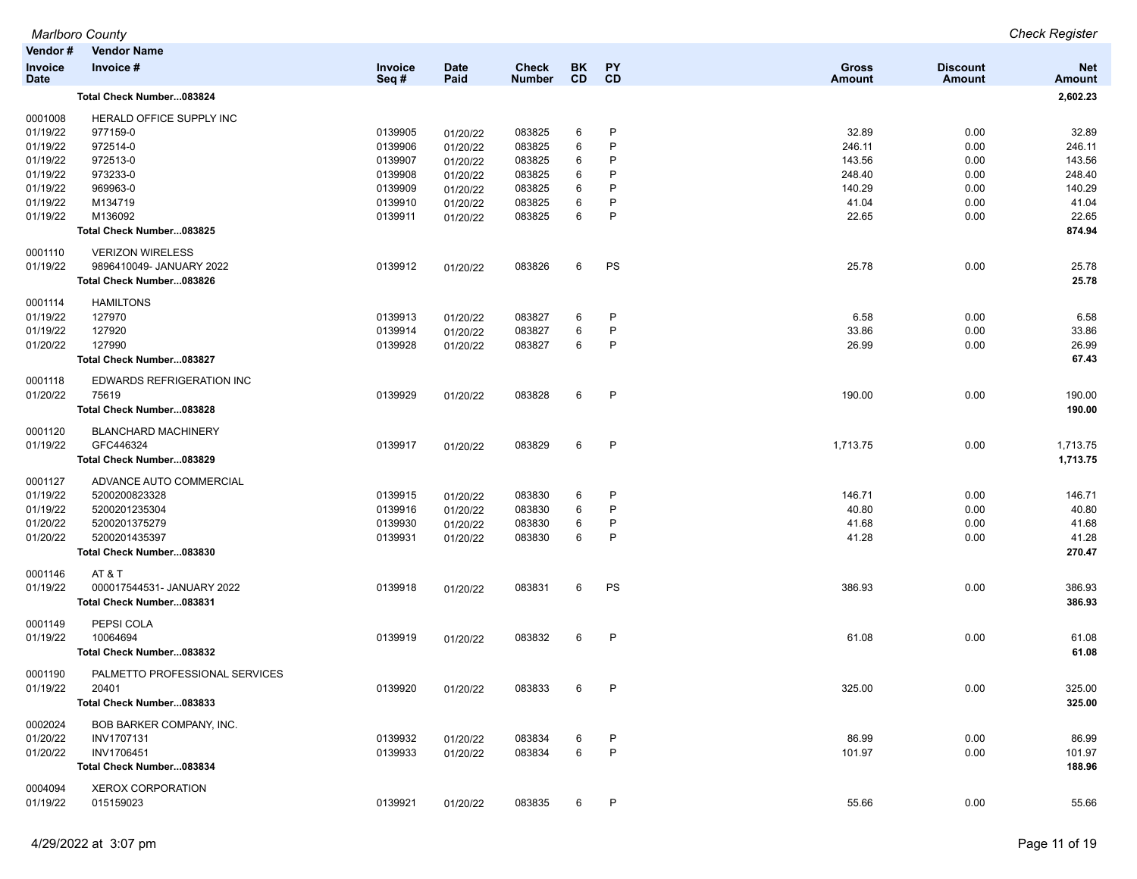|                           |                                                                                                                                                                                                                                                                                                                                                                                                                                                                                                                                                          |                                                                                                                                                                                         |                                                                                                                                                                                                                                                          |                                                                                                                                                                                  |                                                                    |                                                            |                                                                                                                                                                | <b>Check Register</b>                                                                                                                |
|---------------------------|----------------------------------------------------------------------------------------------------------------------------------------------------------------------------------------------------------------------------------------------------------------------------------------------------------------------------------------------------------------------------------------------------------------------------------------------------------------------------------------------------------------------------------------------------------|-----------------------------------------------------------------------------------------------------------------------------------------------------------------------------------------|----------------------------------------------------------------------------------------------------------------------------------------------------------------------------------------------------------------------------------------------------------|----------------------------------------------------------------------------------------------------------------------------------------------------------------------------------|--------------------------------------------------------------------|------------------------------------------------------------|----------------------------------------------------------------------------------------------------------------------------------------------------------------|--------------------------------------------------------------------------------------------------------------------------------------|
| <b>Vendor Name</b>        |                                                                                                                                                                                                                                                                                                                                                                                                                                                                                                                                                          |                                                                                                                                                                                         |                                                                                                                                                                                                                                                          |                                                                                                                                                                                  |                                                                    |                                                            |                                                                                                                                                                |                                                                                                                                      |
| Invoice #                 | Invoice<br>Seq#                                                                                                                                                                                                                                                                                                                                                                                                                                                                                                                                          | <b>Date</b><br>Paid                                                                                                                                                                     | <b>Check</b><br><b>Number</b>                                                                                                                                                                                                                            | <b>BK</b><br><b>CD</b>                                                                                                                                                           | <b>PY</b><br>CD                                                    | <b>Gross</b><br>Amount                                     | <b>Discount</b><br><b>Amount</b>                                                                                                                               | <b>Net</b><br><b>Amount</b>                                                                                                          |
| Total Check Number083824  |                                                                                                                                                                                                                                                                                                                                                                                                                                                                                                                                                          |                                                                                                                                                                                         |                                                                                                                                                                                                                                                          |                                                                                                                                                                                  |                                                                    |                                                            |                                                                                                                                                                | 2,602.23                                                                                                                             |
|                           |                                                                                                                                                                                                                                                                                                                                                                                                                                                                                                                                                          |                                                                                                                                                                                         |                                                                                                                                                                                                                                                          |                                                                                                                                                                                  |                                                                    |                                                            |                                                                                                                                                                |                                                                                                                                      |
|                           |                                                                                                                                                                                                                                                                                                                                                                                                                                                                                                                                                          |                                                                                                                                                                                         |                                                                                                                                                                                                                                                          |                                                                                                                                                                                  |                                                                    |                                                            |                                                                                                                                                                | 32.89                                                                                                                                |
|                           |                                                                                                                                                                                                                                                                                                                                                                                                                                                                                                                                                          |                                                                                                                                                                                         |                                                                                                                                                                                                                                                          |                                                                                                                                                                                  |                                                                    |                                                            |                                                                                                                                                                | 246.11                                                                                                                               |
|                           |                                                                                                                                                                                                                                                                                                                                                                                                                                                                                                                                                          |                                                                                                                                                                                         |                                                                                                                                                                                                                                                          |                                                                                                                                                                                  |                                                                    |                                                            |                                                                                                                                                                | 143.56                                                                                                                               |
|                           |                                                                                                                                                                                                                                                                                                                                                                                                                                                                                                                                                          |                                                                                                                                                                                         |                                                                                                                                                                                                                                                          |                                                                                                                                                                                  | P                                                                  |                                                            |                                                                                                                                                                | 248.40                                                                                                                               |
|                           |                                                                                                                                                                                                                                                                                                                                                                                                                                                                                                                                                          |                                                                                                                                                                                         |                                                                                                                                                                                                                                                          |                                                                                                                                                                                  |                                                                    |                                                            |                                                                                                                                                                | 140.29                                                                                                                               |
|                           |                                                                                                                                                                                                                                                                                                                                                                                                                                                                                                                                                          |                                                                                                                                                                                         |                                                                                                                                                                                                                                                          |                                                                                                                                                                                  |                                                                    |                                                            |                                                                                                                                                                | 41.04                                                                                                                                |
|                           |                                                                                                                                                                                                                                                                                                                                                                                                                                                                                                                                                          |                                                                                                                                                                                         |                                                                                                                                                                                                                                                          |                                                                                                                                                                                  |                                                                    |                                                            |                                                                                                                                                                | 22.65                                                                                                                                |
|                           |                                                                                                                                                                                                                                                                                                                                                                                                                                                                                                                                                          |                                                                                                                                                                                         |                                                                                                                                                                                                                                                          |                                                                                                                                                                                  |                                                                    |                                                            |                                                                                                                                                                | 874.94                                                                                                                               |
|                           |                                                                                                                                                                                                                                                                                                                                                                                                                                                                                                                                                          |                                                                                                                                                                                         |                                                                                                                                                                                                                                                          |                                                                                                                                                                                  |                                                                    |                                                            |                                                                                                                                                                |                                                                                                                                      |
|                           |                                                                                                                                                                                                                                                                                                                                                                                                                                                                                                                                                          |                                                                                                                                                                                         |                                                                                                                                                                                                                                                          |                                                                                                                                                                                  |                                                                    |                                                            |                                                                                                                                                                | 25.78                                                                                                                                |
| Total Check Number083826  |                                                                                                                                                                                                                                                                                                                                                                                                                                                                                                                                                          |                                                                                                                                                                                         |                                                                                                                                                                                                                                                          |                                                                                                                                                                                  |                                                                    |                                                            |                                                                                                                                                                | 25.78                                                                                                                                |
| <b>HAMILTONS</b>          |                                                                                                                                                                                                                                                                                                                                                                                                                                                                                                                                                          |                                                                                                                                                                                         |                                                                                                                                                                                                                                                          |                                                                                                                                                                                  |                                                                    |                                                            |                                                                                                                                                                |                                                                                                                                      |
|                           |                                                                                                                                                                                                                                                                                                                                                                                                                                                                                                                                                          |                                                                                                                                                                                         |                                                                                                                                                                                                                                                          |                                                                                                                                                                                  | P                                                                  |                                                            |                                                                                                                                                                | 6.58                                                                                                                                 |
|                           |                                                                                                                                                                                                                                                                                                                                                                                                                                                                                                                                                          |                                                                                                                                                                                         |                                                                                                                                                                                                                                                          |                                                                                                                                                                                  | P                                                                  |                                                            |                                                                                                                                                                | 33.86                                                                                                                                |
| 127990                    |                                                                                                                                                                                                                                                                                                                                                                                                                                                                                                                                                          |                                                                                                                                                                                         |                                                                                                                                                                                                                                                          | 6                                                                                                                                                                                | P                                                                  |                                                            |                                                                                                                                                                | 26.99                                                                                                                                |
| Total Check Number083827  |                                                                                                                                                                                                                                                                                                                                                                                                                                                                                                                                                          |                                                                                                                                                                                         |                                                                                                                                                                                                                                                          |                                                                                                                                                                                  |                                                                    |                                                            |                                                                                                                                                                | 67.43                                                                                                                                |
| EDWARDS REFRIGERATION INC |                                                                                                                                                                                                                                                                                                                                                                                                                                                                                                                                                          |                                                                                                                                                                                         |                                                                                                                                                                                                                                                          |                                                                                                                                                                                  |                                                                    |                                                            |                                                                                                                                                                |                                                                                                                                      |
| 75619                     | 0139929                                                                                                                                                                                                                                                                                                                                                                                                                                                                                                                                                  |                                                                                                                                                                                         | 083828                                                                                                                                                                                                                                                   | 6                                                                                                                                                                                | P                                                                  | 190.00                                                     | 0.00                                                                                                                                                           | 190.00                                                                                                                               |
| Total Check Number083828  |                                                                                                                                                                                                                                                                                                                                                                                                                                                                                                                                                          |                                                                                                                                                                                         |                                                                                                                                                                                                                                                          |                                                                                                                                                                                  |                                                                    |                                                            |                                                                                                                                                                | 190.00                                                                                                                               |
|                           |                                                                                                                                                                                                                                                                                                                                                                                                                                                                                                                                                          |                                                                                                                                                                                         |                                                                                                                                                                                                                                                          |                                                                                                                                                                                  |                                                                    |                                                            |                                                                                                                                                                |                                                                                                                                      |
| GFC446324                 |                                                                                                                                                                                                                                                                                                                                                                                                                                                                                                                                                          |                                                                                                                                                                                         |                                                                                                                                                                                                                                                          | 6                                                                                                                                                                                | P                                                                  |                                                            |                                                                                                                                                                | 1,713.75                                                                                                                             |
| Total Check Number083829  |                                                                                                                                                                                                                                                                                                                                                                                                                                                                                                                                                          |                                                                                                                                                                                         |                                                                                                                                                                                                                                                          |                                                                                                                                                                                  |                                                                    |                                                            |                                                                                                                                                                | 1,713.75                                                                                                                             |
| ADVANCE AUTO COMMERCIAL   |                                                                                                                                                                                                                                                                                                                                                                                                                                                                                                                                                          |                                                                                                                                                                                         |                                                                                                                                                                                                                                                          |                                                                                                                                                                                  |                                                                    |                                                            |                                                                                                                                                                |                                                                                                                                      |
| 5200200823328             | 0139915                                                                                                                                                                                                                                                                                                                                                                                                                                                                                                                                                  |                                                                                                                                                                                         | 083830                                                                                                                                                                                                                                                   | 6                                                                                                                                                                                | P                                                                  | 146.71                                                     | 0.00                                                                                                                                                           | 146.71                                                                                                                               |
| 5200201235304             | 0139916                                                                                                                                                                                                                                                                                                                                                                                                                                                                                                                                                  |                                                                                                                                                                                         | 083830                                                                                                                                                                                                                                                   | 6                                                                                                                                                                                | P                                                                  | 40.80                                                      | 0.00                                                                                                                                                           | 40.80                                                                                                                                |
| 5200201375279             | 0139930                                                                                                                                                                                                                                                                                                                                                                                                                                                                                                                                                  | 01/20/22                                                                                                                                                                                | 083830                                                                                                                                                                                                                                                   | 6                                                                                                                                                                                | P                                                                  | 41.68                                                      | 0.00                                                                                                                                                           | 41.68                                                                                                                                |
| 5200201435397             | 0139931                                                                                                                                                                                                                                                                                                                                                                                                                                                                                                                                                  |                                                                                                                                                                                         |                                                                                                                                                                                                                                                          | 6                                                                                                                                                                                | P                                                                  | 41.28                                                      | 0.00                                                                                                                                                           | 41.28                                                                                                                                |
|                           |                                                                                                                                                                                                                                                                                                                                                                                                                                                                                                                                                          |                                                                                                                                                                                         |                                                                                                                                                                                                                                                          |                                                                                                                                                                                  |                                                                    |                                                            |                                                                                                                                                                | 270.47                                                                                                                               |
| AT & T                    |                                                                                                                                                                                                                                                                                                                                                                                                                                                                                                                                                          |                                                                                                                                                                                         |                                                                                                                                                                                                                                                          |                                                                                                                                                                                  |                                                                    |                                                            |                                                                                                                                                                |                                                                                                                                      |
|                           |                                                                                                                                                                                                                                                                                                                                                                                                                                                                                                                                                          |                                                                                                                                                                                         |                                                                                                                                                                                                                                                          | 6                                                                                                                                                                                |                                                                    |                                                            |                                                                                                                                                                | 386.93                                                                                                                               |
|                           |                                                                                                                                                                                                                                                                                                                                                                                                                                                                                                                                                          |                                                                                                                                                                                         |                                                                                                                                                                                                                                                          |                                                                                                                                                                                  |                                                                    |                                                            |                                                                                                                                                                | 386.93                                                                                                                               |
|                           |                                                                                                                                                                                                                                                                                                                                                                                                                                                                                                                                                          |                                                                                                                                                                                         |                                                                                                                                                                                                                                                          |                                                                                                                                                                                  |                                                                    |                                                            |                                                                                                                                                                |                                                                                                                                      |
|                           |                                                                                                                                                                                                                                                                                                                                                                                                                                                                                                                                                          |                                                                                                                                                                                         |                                                                                                                                                                                                                                                          |                                                                                                                                                                                  |                                                                    |                                                            |                                                                                                                                                                | 61.08                                                                                                                                |
| Total Check Number083832  |                                                                                                                                                                                                                                                                                                                                                                                                                                                                                                                                                          |                                                                                                                                                                                         |                                                                                                                                                                                                                                                          |                                                                                                                                                                                  |                                                                    |                                                            |                                                                                                                                                                | 61.08                                                                                                                                |
|                           |                                                                                                                                                                                                                                                                                                                                                                                                                                                                                                                                                          |                                                                                                                                                                                         |                                                                                                                                                                                                                                                          |                                                                                                                                                                                  |                                                                    |                                                            |                                                                                                                                                                |                                                                                                                                      |
|                           |                                                                                                                                                                                                                                                                                                                                                                                                                                                                                                                                                          |                                                                                                                                                                                         |                                                                                                                                                                                                                                                          |                                                                                                                                                                                  |                                                                    |                                                            |                                                                                                                                                                | 325.00                                                                                                                               |
|                           |                                                                                                                                                                                                                                                                                                                                                                                                                                                                                                                                                          |                                                                                                                                                                                         |                                                                                                                                                                                                                                                          |                                                                                                                                                                                  |                                                                    |                                                            |                                                                                                                                                                | 325.00                                                                                                                               |
|                           |                                                                                                                                                                                                                                                                                                                                                                                                                                                                                                                                                          |                                                                                                                                                                                         |                                                                                                                                                                                                                                                          |                                                                                                                                                                                  |                                                                    |                                                            |                                                                                                                                                                |                                                                                                                                      |
|                           |                                                                                                                                                                                                                                                                                                                                                                                                                                                                                                                                                          |                                                                                                                                                                                         |                                                                                                                                                                                                                                                          |                                                                                                                                                                                  |                                                                    |                                                            |                                                                                                                                                                | 86.99                                                                                                                                |
|                           |                                                                                                                                                                                                                                                                                                                                                                                                                                                                                                                                                          |                                                                                                                                                                                         |                                                                                                                                                                                                                                                          |                                                                                                                                                                                  |                                                                    |                                                            |                                                                                                                                                                | 101.97                                                                                                                               |
|                           |                                                                                                                                                                                                                                                                                                                                                                                                                                                                                                                                                          |                                                                                                                                                                                         |                                                                                                                                                                                                                                                          |                                                                                                                                                                                  |                                                                    |                                                            |                                                                                                                                                                | 188.96                                                                                                                               |
|                           |                                                                                                                                                                                                                                                                                                                                                                                                                                                                                                                                                          |                                                                                                                                                                                         |                                                                                                                                                                                                                                                          |                                                                                                                                                                                  |                                                                    |                                                            |                                                                                                                                                                |                                                                                                                                      |
| <b>XEROX CORPORATION</b>  |                                                                                                                                                                                                                                                                                                                                                                                                                                                                                                                                                          |                                                                                                                                                                                         |                                                                                                                                                                                                                                                          |                                                                                                                                                                                  |                                                                    |                                                            |                                                                                                                                                                |                                                                                                                                      |
| 015159023                 | 0139921                                                                                                                                                                                                                                                                                                                                                                                                                                                                                                                                                  | 01/20/22                                                                                                                                                                                | 083835                                                                                                                                                                                                                                                   | 6                                                                                                                                                                                | P                                                                  | 55.66                                                      | 0.00                                                                                                                                                           | 55.66                                                                                                                                |
|                           | Marlboro County<br>Vendor#<br>HERALD OFFICE SUPPLY INC<br>977159-0<br>972514-0<br>972513-0<br>973233-0<br>969963-0<br>M134719<br>M136092<br>Total Check Number083825<br><b>VERIZON WIRELESS</b><br>9896410049- JANUARY 2022<br>127970<br>127920<br><b>BLANCHARD MACHINERY</b><br>Total Check Number083830<br>000017544531- JANUARY 2022<br>Total Check Number083831<br>PEPSI COLA<br>10064694<br>PALMETTO PROFESSIONAL SERVICES<br>20401<br>Total Check Number083833<br>BOB BARKER COMPANY, INC.<br>INV1707131<br>INV1706451<br>Total Check Number083834 | 0139905<br>0139906<br>0139907<br>0139908<br>0139909<br>0139910<br>0139911<br>0139912<br>0139913<br>0139914<br>0139928<br>0139917<br>0139918<br>0139919<br>0139920<br>0139932<br>0139933 | 01/20/22<br>01/20/22<br>01/20/22<br>01/20/22<br>01/20/22<br>01/20/22<br>01/20/22<br>01/20/22<br>01/20/22<br>01/20/22<br>01/20/22<br>01/20/22<br>01/20/22<br>01/20/22<br>01/20/22<br>01/20/22<br>01/20/22<br>01/20/22<br>01/20/22<br>01/20/22<br>01/20/22 | 083825<br>083825<br>083825<br>083825<br>083825<br>083825<br>083825<br>083826<br>083827<br>083827<br>083827<br>083829<br>083830<br>083831<br>083832<br>083833<br>083834<br>083834 | 6<br>6<br>6<br>6<br>6<br>6<br>6<br>6<br>6<br>6<br>6<br>6<br>6<br>6 | P<br>P<br>P<br>P<br>P<br>P<br>PS<br>PS<br>P<br>P<br>P<br>P | 32.89<br>246.11<br>143.56<br>248.40<br>140.29<br>41.04<br>22.65<br>25.78<br>6.58<br>33.86<br>26.99<br>1,713.75<br>386.93<br>61.08<br>325.00<br>86.99<br>101.97 | 0.00<br>0.00<br>0.00<br>0.00<br>0.00<br>0.00<br>0.00<br>0.00<br>0.00<br>0.00<br>0.00<br>0.00<br>0.00<br>0.00<br>0.00<br>0.00<br>0.00 |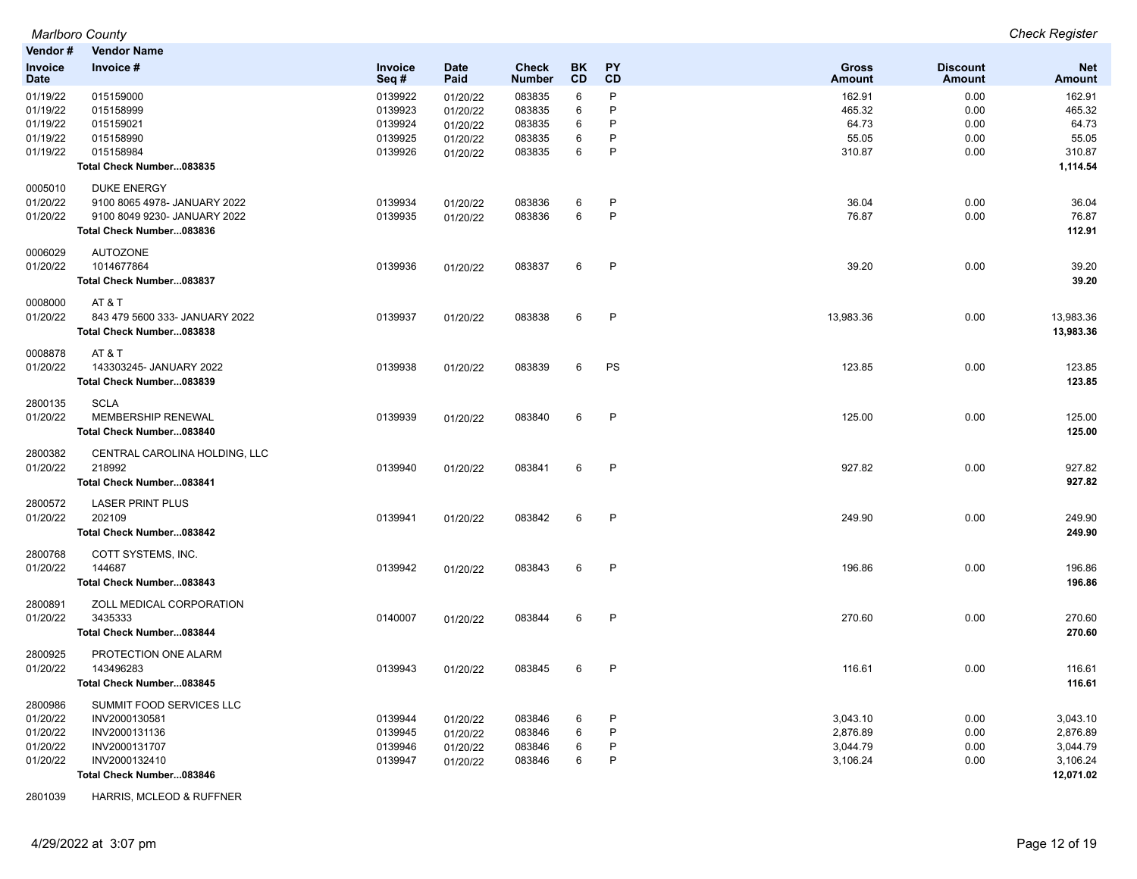| Vendor#                | <b>Vendor Name</b>                        |                    |                      |                               |                 |              |                               |                           |                             |
|------------------------|-------------------------------------------|--------------------|----------------------|-------------------------------|-----------------|--------------|-------------------------------|---------------------------|-----------------------------|
| Invoice<br><b>Date</b> | Invoice #                                 | Invoice<br>Seq#    | <b>Date</b><br>Paid  | <b>Check</b><br><b>Number</b> | <b>BK</b><br>CD | PY<br>CD     | <b>Gross</b><br><b>Amount</b> | <b>Discount</b><br>Amount | <b>Net</b><br><b>Amount</b> |
| 01/19/22               | 015159000                                 | 0139922            | 01/20/22             | 083835                        | 6               | P            | 162.91                        | 0.00                      | 162.91                      |
| 01/19/22               | 015158999                                 | 0139923            | 01/20/22             | 083835                        | 6               | P            | 465.32                        | 0.00                      | 465.32                      |
| 01/19/22<br>01/19/22   | 015159021                                 | 0139924            | 01/20/22             | 083835                        | 6               | P<br>P       | 64.73                         | 0.00                      | 64.73<br>55.05              |
| 01/19/22               | 015158990<br>015158984                    | 0139925<br>0139926 | 01/20/22<br>01/20/22 | 083835<br>083835              | 6<br>6          | P            | 55.05<br>310.87               | 0.00<br>0.00              | 310.87                      |
|                        | Total Check Number083835                  |                    |                      |                               |                 |              |                               |                           | 1,114.54                    |
| 0005010                | <b>DUKE ENERGY</b>                        |                    |                      |                               |                 |              |                               |                           |                             |
| 01/20/22               | 9100 8065 4978- JANUARY 2022              | 0139934            | 01/20/22             | 083836                        | 6               | $\mathsf{P}$ | 36.04                         | 0.00                      | 36.04                       |
| 01/20/22               | 9100 8049 9230- JANUARY 2022              | 0139935            | 01/20/22             | 083836                        | 6               | P            | 76.87                         | 0.00                      | 76.87                       |
|                        | Total Check Number083836                  |                    |                      |                               |                 |              |                               |                           | 112.91                      |
| 0006029<br>01/20/22    | <b>AUTOZONE</b><br>1014677864             | 0139936            |                      | 083837                        | 6               | $\mathsf{P}$ | 39.20                         | 0.00                      | 39.20                       |
|                        | Total Check Number083837                  |                    | 01/20/22             |                               |                 |              |                               |                           | 39.20                       |
| 0008000                | AT & T                                    |                    |                      |                               |                 |              |                               |                           |                             |
| 01/20/22               | 843 479 5600 333- JANUARY 2022            | 0139937            | 01/20/22             | 083838                        | 6               | $\mathsf{P}$ | 13,983.36                     | 0.00                      | 13,983.36                   |
|                        | Total Check Number083838                  |                    |                      |                               |                 |              |                               |                           | 13,983.36                   |
| 0008878                | AT & T                                    |                    |                      |                               |                 |              |                               |                           |                             |
| 01/20/22               | 143303245- JANUARY 2022                   | 0139938            | 01/20/22             | 083839                        | 6               | PS           | 123.85                        | 0.00                      | 123.85                      |
|                        | Total Check Number083839                  |                    |                      |                               |                 |              |                               |                           | 123.85                      |
| 2800135<br>01/20/22    | <b>SCLA</b><br>MEMBERSHIP RENEWAL         | 0139939            |                      | 083840                        | 6               | $\mathsf{P}$ | 125.00                        | 0.00                      | 125.00                      |
|                        | Total Check Number083840                  |                    | 01/20/22             |                               |                 |              |                               |                           | 125.00                      |
|                        |                                           |                    |                      |                               |                 |              |                               |                           |                             |
| 2800382<br>01/20/22    | CENTRAL CAROLINA HOLDING, LLC<br>218992   | 0139940            | 01/20/22             | 083841                        | 6               | $\mathsf{P}$ | 927.82                        | 0.00                      | 927.82                      |
|                        | Total Check Number083841                  |                    |                      |                               |                 |              |                               |                           | 927.82                      |
| 2800572                | <b>LASER PRINT PLUS</b>                   |                    |                      |                               |                 |              |                               |                           |                             |
| 01/20/22               | 202109                                    | 0139941            | 01/20/22             | 083842                        | 6               | $\mathsf{P}$ | 249.90                        | 0.00                      | 249.90                      |
|                        | Total Check Number083842                  |                    |                      |                               |                 |              |                               |                           | 249.90                      |
| 2800768                | COTT SYSTEMS, INC.                        |                    |                      |                               |                 |              |                               |                           |                             |
| 01/20/22               | 144687                                    | 0139942            | 01/20/22             | 083843                        | 6               | $\mathsf{P}$ | 196.86                        | 0.00                      | 196.86                      |
|                        | Total Check Number083843                  |                    |                      |                               |                 |              |                               |                           | 196.86                      |
| 2800891                | ZOLL MEDICAL CORPORATION                  |                    |                      |                               |                 |              |                               |                           |                             |
| 01/20/22               | 3435333<br>Total Check Number083844       | 0140007            | 01/20/22             | 083844                        | 6               | $\mathsf{P}$ | 270.60                        | 0.00                      | 270.60<br>270.60            |
| 2800925                | PROTECTION ONE ALARM                      |                    |                      |                               |                 |              |                               |                           |                             |
| 01/20/22               | 143496283                                 | 0139943            | 01/20/22             | 083845                        | 6               | $\mathsf{P}$ | 116.61                        | 0.00                      | 116.61                      |
|                        | Total Check Number083845                  |                    |                      |                               |                 |              |                               |                           | 116.61                      |
|                        |                                           |                    |                      |                               |                 |              |                               |                           |                             |
| 2800986<br>01/20/22    | SUMMIT FOOD SERVICES LLC<br>INV2000130581 | 0139944            | 01/20/22             | 083846                        | 6               | $\mathsf{P}$ | 3,043.10                      | 0.00                      | 3,043.10                    |
| 01/20/22               | INV2000131136                             | 0139945            | 01/20/22             | 083846                        | 6               | $\mathsf{P}$ | 2,876.89                      | 0.00                      | 2,876.89                    |
| 01/20/22               | INV2000131707                             | 0139946            | 01/20/22             | 083846                        | 6               | P            | 3,044.79                      | 0.00                      | 3,044.79                    |
| 01/20/22               | INV2000132410                             | 0139947            | 01/20/22             | 083846                        | 6               | P            | 3,106.24                      | 0.00                      | 3,106.24                    |
|                        | Total Check Number083846                  |                    |                      |                               |                 |              |                               |                           | 12,071.02                   |

2801039 HARRIS, MCLEOD & RUFFNER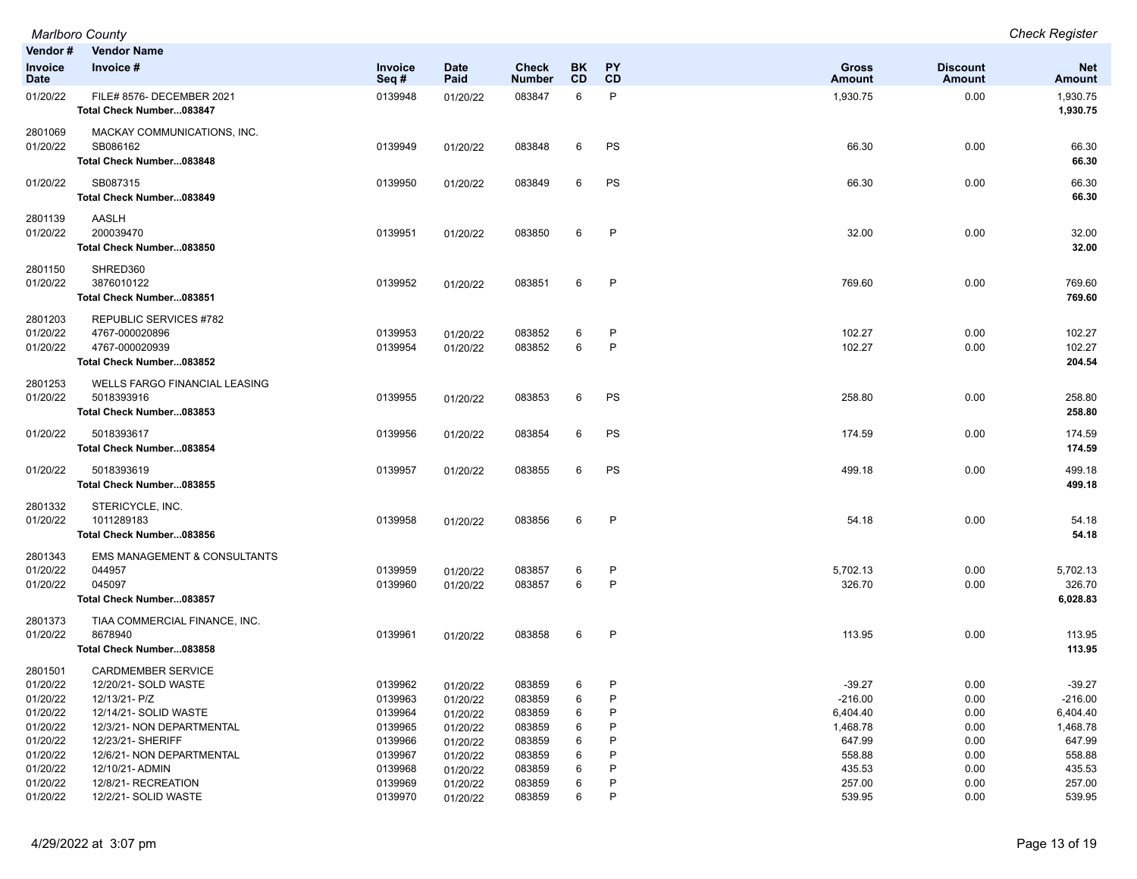**Vendor # Vendor Name Invoice Date Invoice # Invoice Seq # Date Paid Check Number BK CD PY CD Gross Amount Discount Amount Net Amount** 01/20/22 FILE# 8576- DECEMBER 2021 0139948 01/20/22 083847 6 P 1,930.75 0.00 1,930.75 **Total Check Number...083847 1,930.75** 2801069 MACKAY COMMUNICATIONS, INC. 01/20/22 SB086162 0139949 01/20/22 083848 6 PS 66.30 0.00 66.30 **Total Check Number...083848 66.30** 01/20/22 SB087315 0139950 01/20/22 083849 6 PS 66.30 66.30 **Total Check Number...083849 66.30** 2801139 AASLH 01/20/22 200039470 0139951 01/20/22 083850 6 P 32.00 32.00 **Total Check Number...083850 32.00** 2801150 SHRED360 01/20/22 3876010122 0139952 01/20/22 083851 6 P 769.60 769.60 **Total Check Number...083851 769.60** 2801203 REPUBLIC SERVICES #782 01/20/22 4767-000020896 0139953 01/20/22 083852 6 P 102.27 0.00 102.27 01/20/22 4767-000020939 0139954 01/20/22 083852 6 P 102.27 0.00 102.27 **Total Check Number...083852 204.54** 2801253 WELLS FARGO FINANCIAL LEASING 01/20/22 5018393916 0139955 01/20/22 083853 6 PS 258.80 0.00 258.80 **Total Check Number...083853 258.80** 01/20/22 5018393617 0139956 01/20/22 083854 6 PS 174.59 174.59 0.00 174.59 0.00 174.59 **Total Check Number...083854 174.59** 01/20/22 5018393619 0139957 01/20/22 083855 6 PS 499.18 0.00 499.18 **Total Check Number...083855 499.18** 2801332 STERICYCLE, INC. 01/20/22 1011289183 0139958 01/20/22 083856 6 P 54.18 0.00 54.18 **Total Check Number...083856 54.18** 2801343 EMS MANAGEMENT & CONSULTANTS 01/20/22 044957 0139959 01/20/22 083857 6 P 5,702.13 0.00 5,702.13 01/20/22 045097 0139960 01/20/22 083857 6 P 326.70 0.00 326.70 **Total Check Number...083857 6,028.83** 2801373 TIAA COMMERCIAL FINANCE, INC. 01/20/22 8678940 0139961 01/20/22 083858 6 P 113.95 0.00 113.95 **Total Check Number...083858 113.95** 2801501 CARDMEMBER SERVICE 01/20/22 12/20/21- SOLD WASTE 0139962 01/20/22 083859 6 P -39.27 0.00 -39.27 01/20/22 12/13/21- P/Z 0139963 01/20/22 083859 6 P -216.00 0.00 -216.00 01/20/22 12/14/21- SOLID WASTE 0139964 01/20/22 083859 6 P 6,404.40 6,404.40 01/20/22 12/3/21- NON DEPARTMENTAL 0139965 01/20/22 083859 6 P 1,468.78 0.00 1,468.78 01/20/22 12/23/21- SHERIFF 0139966 01/20/22 083859 6 P 647.99 0.00 647.99 01/20/22 12/6/21- NON DEPARTMENTAL 0139967 01/20/22 083859 6 P 558.88 558.88 01/20/22 12/10/21- ADMIN 0139968 01/20/22 083859 6 P 435.53 0.00 435.53 01/20/22 12/8/21- RECREATION 0139969 01/20/22 083859 6 P 257.00 0.00 257.00

01/20/22 12/2/21- SOLID WASTE 0139970 01/20/22 083859 6 P 539.95 0.00 539.95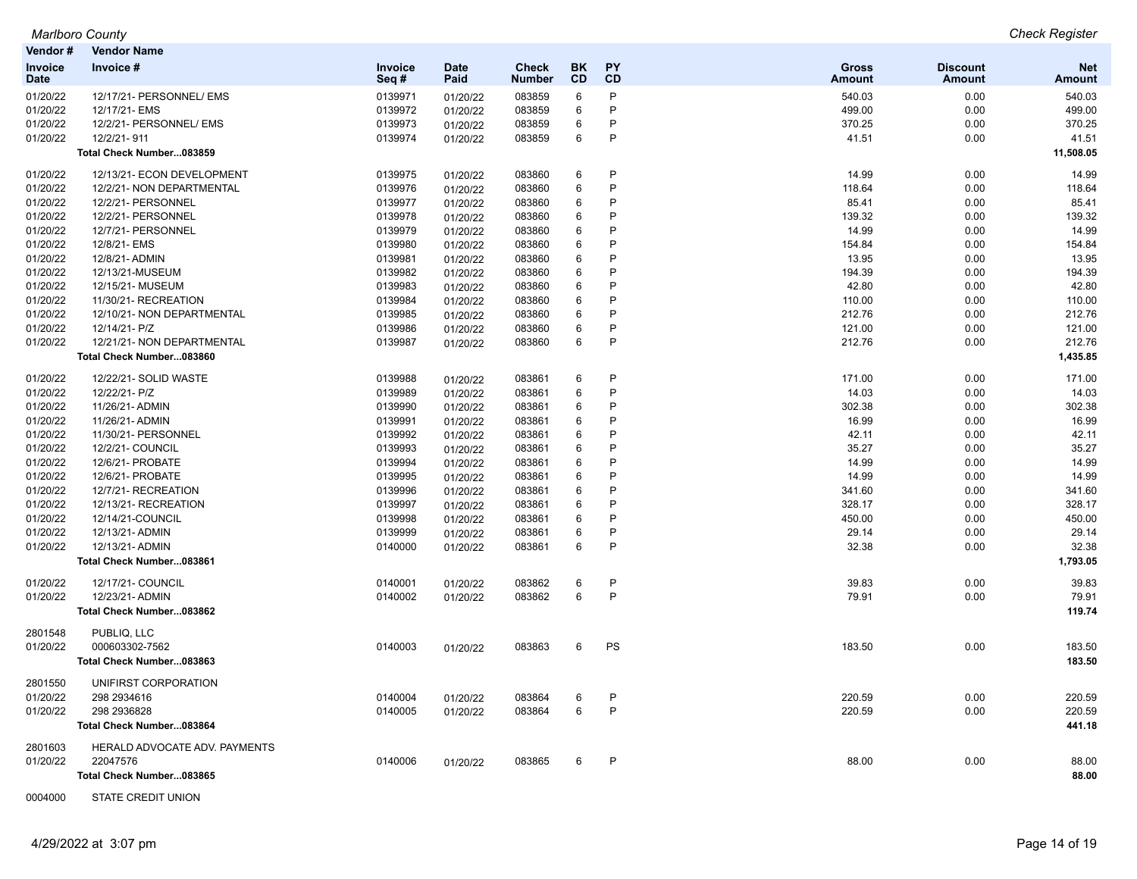| Vendor #               | <b>Vendor Name</b>            |                 |                     |                        |                        |                 |                        |                           |                             |
|------------------------|-------------------------------|-----------------|---------------------|------------------------|------------------------|-----------------|------------------------|---------------------------|-----------------------------|
| Invoice<br><b>Date</b> | Invoice #                     | Invoice<br>Seq# | <b>Date</b><br>Paid | <b>Check</b><br>Number | <b>BK</b><br><b>CD</b> | <b>PY</b><br>CD | <b>Gross</b><br>Amount | <b>Discount</b><br>Amount | <b>Net</b><br><b>Amount</b> |
| 01/20/22               | 12/17/21- PERSONNEL/ EMS      | 0139971         | 01/20/22            | 083859                 | 6                      | P               | 540.03                 | 0.00                      | 540.03                      |
| 01/20/22               | 12/17/21- EMS                 | 0139972         | 01/20/22            | 083859                 | 6                      | P               | 499.00                 | 0.00                      | 499.00                      |
| 01/20/22               | 12/2/21- PERSONNEL/ EMS       | 0139973         | 01/20/22            | 083859                 | 6                      | P               | 370.25                 | 0.00                      | 370.25                      |
| 01/20/22               | 12/2/21-911                   | 0139974         | 01/20/22            | 083859                 | 6                      | P               | 41.51                  | 0.00                      | 41.51                       |
|                        | Total Check Number083859      |                 |                     |                        |                        |                 |                        |                           | 11,508.05                   |
| 01/20/22               | 12/13/21- ECON DEVELOPMENT    | 0139975         | 01/20/22            | 083860                 | 6                      | P               | 14.99                  | 0.00                      | 14.99                       |
| 01/20/22               | 12/2/21- NON DEPARTMENTAL     | 0139976         | 01/20/22            | 083860                 | 6                      | P               | 118.64                 | 0.00                      | 118.64                      |
| 01/20/22               | 12/2/21- PERSONNEL            | 0139977         | 01/20/22            | 083860                 | 6                      | P               | 85.41                  | 0.00                      | 85.41                       |
| 01/20/22               | 12/2/21- PERSONNEL            | 0139978         | 01/20/22            | 083860                 | 6                      | P               | 139.32                 | 0.00                      | 139.32                      |
| 01/20/22               | 12/7/21- PERSONNEL            | 0139979         | 01/20/22            | 083860                 | 6                      | P               | 14.99                  | 0.00                      | 14.99                       |
| 01/20/22               | 12/8/21- EMS                  | 0139980         | 01/20/22            | 083860                 | 6                      | P               | 154.84                 | 0.00                      | 154.84                      |
| 01/20/22               | 12/8/21- ADMIN                | 0139981         | 01/20/22            | 083860                 | 6                      | P               | 13.95                  | 0.00                      | 13.95                       |
| 01/20/22               | 12/13/21-MUSEUM               | 0139982         | 01/20/22            | 083860                 | 6                      | P               | 194.39                 | 0.00                      | 194.39                      |
| 01/20/22               | 12/15/21- MUSEUM              | 0139983         | 01/20/22            | 083860                 | 6                      | P               | 42.80                  | 0.00                      | 42.80                       |
| 01/20/22               | 11/30/21-RECREATION           | 0139984         | 01/20/22            | 083860                 | 6                      | P               | 110.00                 | 0.00                      | 110.00                      |
| 01/20/22               | 12/10/21- NON DEPARTMENTAL    | 0139985         | 01/20/22            | 083860                 | 6                      | P               | 212.76                 | 0.00                      | 212.76                      |
| 01/20/22               | 12/14/21- P/Z                 | 0139986         | 01/20/22            | 083860                 | 6                      | P               | 121.00                 | 0.00                      | 121.00                      |
| 01/20/22               | 12/21/21- NON DEPARTMENTAL    | 0139987         | 01/20/22            | 083860                 | 6                      | P               | 212.76                 | 0.00                      | 212.76                      |
|                        | Total Check Number083860      |                 |                     |                        |                        |                 |                        |                           | 1,435.85                    |
| 01/20/22               | 12/22/21- SOLID WASTE         | 0139988         | 01/20/22            | 083861                 | 6                      | P               | 171.00                 | 0.00                      | 171.00                      |
| 01/20/22               | 12/22/21- P/Z                 | 0139989         | 01/20/22            | 083861                 | 6                      | P               | 14.03                  | 0.00                      | 14.03                       |
| 01/20/22               | 11/26/21- ADMIN               | 0139990         | 01/20/22            | 083861                 | 6                      | P               | 302.38                 | 0.00                      | 302.38                      |
| 01/20/22               | 11/26/21- ADMIN               | 0139991         | 01/20/22            | 083861                 | 6                      | P               | 16.99                  | 0.00                      | 16.99                       |
| 01/20/22               | 11/30/21- PERSONNEL           | 0139992         | 01/20/22            | 083861                 | 6                      | P               | 42.11                  | 0.00                      | 42.11                       |
| 01/20/22               | 12/2/21- COUNCIL              | 0139993         | 01/20/22            | 083861                 | 6                      | P               | 35.27                  | 0.00                      | 35.27                       |
| 01/20/22               | 12/6/21- PROBATE              | 0139994         | 01/20/22            | 083861                 | 6                      | P               | 14.99                  | 0.00                      | 14.99                       |
| 01/20/22               | 12/6/21- PROBATE              | 0139995         | 01/20/22            | 083861                 | 6                      | P               | 14.99                  | 0.00                      | 14.99                       |
| 01/20/22               | 12/7/21-RECREATION            | 0139996         | 01/20/22            | 083861                 | 6                      | P               | 341.60                 | 0.00                      | 341.60                      |
| 01/20/22               | 12/13/21-RECREATION           | 0139997         | 01/20/22            | 083861                 | 6                      | P               | 328.17                 | 0.00                      | 328.17                      |
| 01/20/22               | 12/14/21-COUNCIL              | 0139998         | 01/20/22            | 083861                 | 6                      | P               | 450.00                 | 0.00                      | 450.00                      |
| 01/20/22               | 12/13/21- ADMIN               | 0139999         | 01/20/22            | 083861                 | 6                      | P               | 29.14                  | 0.00                      | 29.14                       |
| 01/20/22               | 12/13/21- ADMIN               | 0140000         | 01/20/22            | 083861                 | 6                      | P               | 32.38                  | 0.00                      | 32.38                       |
|                        | Total Check Number083861      |                 |                     |                        |                        |                 |                        |                           | 1,793.05                    |
| 01/20/22               | 12/17/21- COUNCIL             | 0140001         | 01/20/22            | 083862                 | 6                      | P               | 39.83                  | 0.00                      | 39.83                       |
| 01/20/22               | 12/23/21- ADMIN               | 0140002         | 01/20/22            | 083862                 | 6                      | P               | 79.91                  | 0.00                      | 79.91                       |
|                        | Total Check Number083862      |                 |                     |                        |                        |                 |                        |                           | 119.74                      |
| 2801548                | PUBLIQ, LLC                   |                 |                     |                        |                        |                 |                        |                           |                             |
| 01/20/22               | 000603302-7562                | 0140003         | 01/20/22            | 083863                 | 6                      | PS              | 183.50                 | 0.00                      | 183.50                      |
|                        | Total Check Number083863      |                 |                     |                        |                        |                 |                        |                           | 183.50                      |
| 2801550                | UNIFIRST CORPORATION          |                 |                     |                        |                        |                 |                        |                           |                             |
| 01/20/22               | 298 2934616                   | 0140004         | 01/20/22            | 083864                 | 6                      | P               | 220.59                 | 0.00                      | 220.59                      |
| 01/20/22               | 298 2936828                   | 0140005         | 01/20/22            | 083864                 | 6                      | P               | 220.59                 | 0.00                      | 220.59                      |
|                        | Total Check Number083864      |                 |                     |                        |                        |                 |                        |                           | 441.18                      |
| 2801603                | HERALD ADVOCATE ADV. PAYMENTS |                 |                     |                        |                        |                 |                        |                           |                             |
| 01/20/22               | 22047576                      | 0140006         | 01/20/22            | 083865                 | 6                      | P               | 88.00                  | 0.00                      | 88.00                       |
|                        | Total Check Number083865      |                 |                     |                        |                        |                 |                        |                           | 88.00                       |

0004000 STATE CREDIT UNION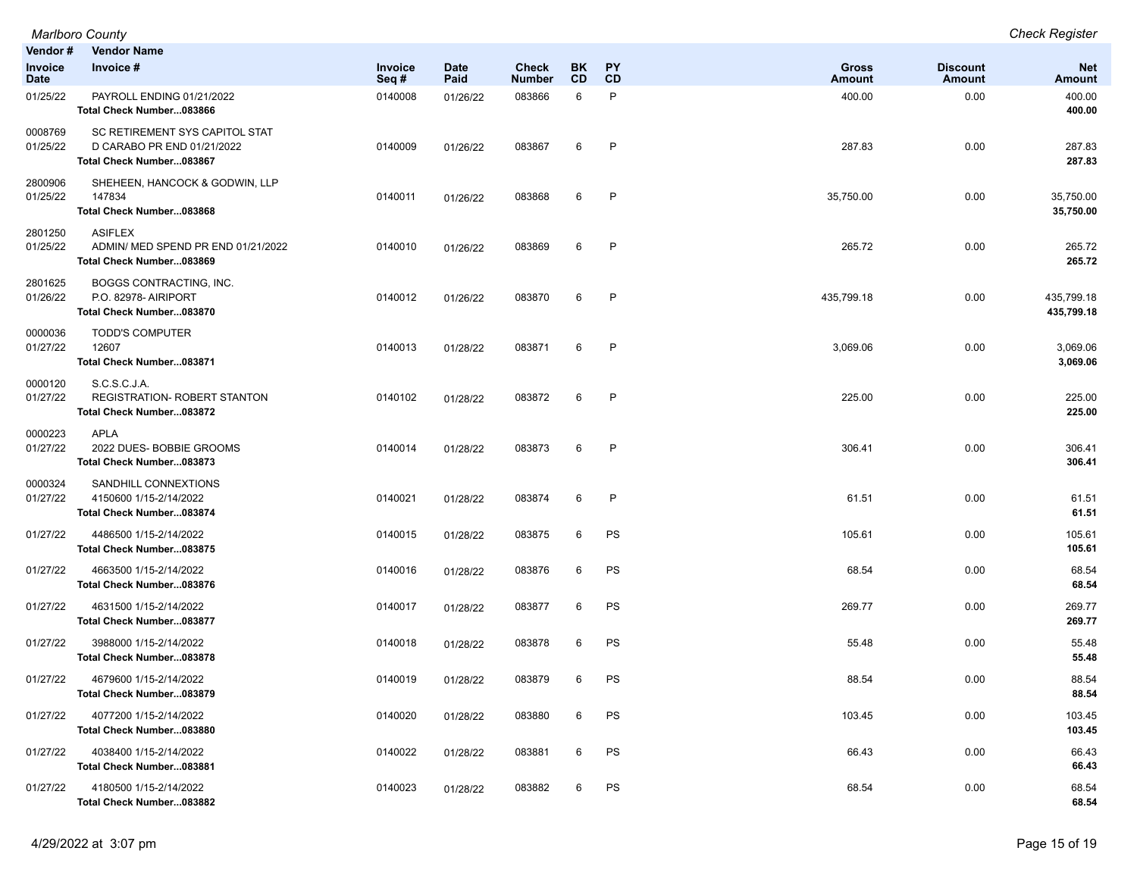|                        | <b>Marlboro County</b>                                                                   |                 |                     |                               |                        |                        |                               |                           | <b>Check Register</b>       |
|------------------------|------------------------------------------------------------------------------------------|-----------------|---------------------|-------------------------------|------------------------|------------------------|-------------------------------|---------------------------|-----------------------------|
| Vendor#                | <b>Vendor Name</b>                                                                       |                 |                     |                               |                        |                        |                               |                           |                             |
| <b>Invoice</b><br>Date | Invoice #                                                                                | Invoice<br>Seq# | <b>Date</b><br>Paid | <b>Check</b><br><b>Number</b> | <b>BK</b><br><b>CD</b> | <b>PY</b><br><b>CD</b> | <b>Gross</b><br><b>Amount</b> | <b>Discount</b><br>Amount | <b>Net</b><br><b>Amount</b> |
| 01/25/22               | PAYROLL ENDING 01/21/2022<br>Total Check Number083866                                    | 0140008         | 01/26/22            | 083866                        | 6                      | P                      | 400.00                        | 0.00                      | 400.00<br>400.00            |
| 0008769<br>01/25/22    | SC RETIREMENT SYS CAPITOL STAT<br>D CARABO PR END 01/21/2022<br>Total Check Number083867 | 0140009         | 01/26/22            | 083867                        | 6                      | $\mathsf{P}$           | 287.83                        | 0.00                      | 287.83<br>287.83            |
| 2800906<br>01/25/22    | SHEHEEN, HANCOCK & GODWIN, LLP<br>147834<br>Total Check Number083868                     | 0140011         | 01/26/22            | 083868                        | 6                      | P                      | 35,750.00                     | 0.00                      | 35,750.00<br>35,750.00      |
| 2801250<br>01/25/22    | <b>ASIFLEX</b><br>ADMIN/ MED SPEND PR END 01/21/2022<br>Total Check Number083869         | 0140010         | 01/26/22            | 083869                        | 6                      | P                      | 265.72                        | 0.00                      | 265.72<br>265.72            |
| 2801625<br>01/26/22    | BOGGS CONTRACTING, INC.<br>P.O. 82978- AIRIPORT<br>Total Check Number083870              | 0140012         | 01/26/22            | 083870                        | 6                      | $\mathsf{P}$           | 435,799.18                    | 0.00                      | 435,799.18<br>435,799.18    |
| 0000036<br>01/27/22    | <b>TODD'S COMPUTER</b><br>12607<br>Total Check Number083871                              | 0140013         | 01/28/22            | 083871                        | 6                      | P                      | 3,069.06                      | 0.00                      | 3,069.06<br>3,069.06        |
| 0000120<br>01/27/22    | S.C.S.C.J.A.<br>REGISTRATION- ROBERT STANTON<br>Total Check Number083872                 | 0140102         | 01/28/22            | 083872                        | 6                      | $\mathsf{P}$           | 225.00                        | 0.00                      | 225.00<br>225.00            |
| 0000223<br>01/27/22    | <b>APLA</b><br>2022 DUES- BOBBIE GROOMS<br>Total Check Number083873                      | 0140014         | 01/28/22            | 083873                        | 6                      | $\mathsf{P}$           | 306.41                        | 0.00                      | 306.41<br>306.41            |
| 0000324<br>01/27/22    | SANDHILL CONNEXTIONS<br>4150600 1/15-2/14/2022<br>Total Check Number083874               | 0140021         | 01/28/22            | 083874                        | 6                      | P                      | 61.51                         | 0.00                      | 61.51<br>61.51              |
| 01/27/22               | 4486500 1/15-2/14/2022<br>Total Check Number083875                                       | 0140015         | 01/28/22            | 083875                        | 6                      | PS                     | 105.61                        | 0.00                      | 105.61<br>105.61            |
| 01/27/22               | 4663500 1/15-2/14/2022<br>Total Check Number083876                                       | 0140016         | 01/28/22            | 083876                        | 6                      | PS                     | 68.54                         | 0.00                      | 68.54<br>68.54              |
| 01/27/22               | 4631500 1/15-2/14/2022<br>Total Check Number083877                                       | 0140017         | 01/28/22            | 083877                        | 6                      | PS                     | 269.77                        | 0.00                      | 269.77<br>269.77            |
| 01/27/22               | 3988000 1/15-2/14/2022<br>Total Check Number083878                                       | 0140018         | 01/28/22            | 083878                        | 6                      | PS                     | 55.48                         | 0.00                      | 55.48<br>55.48              |
| 01/27/22               | 4679600 1/15-2/14/2022<br>Total Check Number083879                                       | 0140019         | 01/28/22            | 083879                        | 6                      | PS                     | 88.54                         | 0.00                      | 88.54<br>88.54              |
| 01/27/22               | 4077200 1/15-2/14/2022<br>Total Check Number083880                                       | 0140020         | 01/28/22            | 083880                        | 6                      | PS                     | 103.45                        | 0.00                      | 103.45<br>103.45            |
| 01/27/22               | 4038400 1/15-2/14/2022<br>Total Check Number083881                                       | 0140022         | 01/28/22            | 083881                        | 6                      | PS                     | 66.43                         | 0.00                      | 66.43<br>66.43              |
| 01/27/22               | 4180500 1/15-2/14/2022<br>Total Check Number083882                                       | 0140023         | 01/28/22            | 083882                        | 6                      | PS                     | 68.54                         | 0.00                      | 68.54<br>68.54              |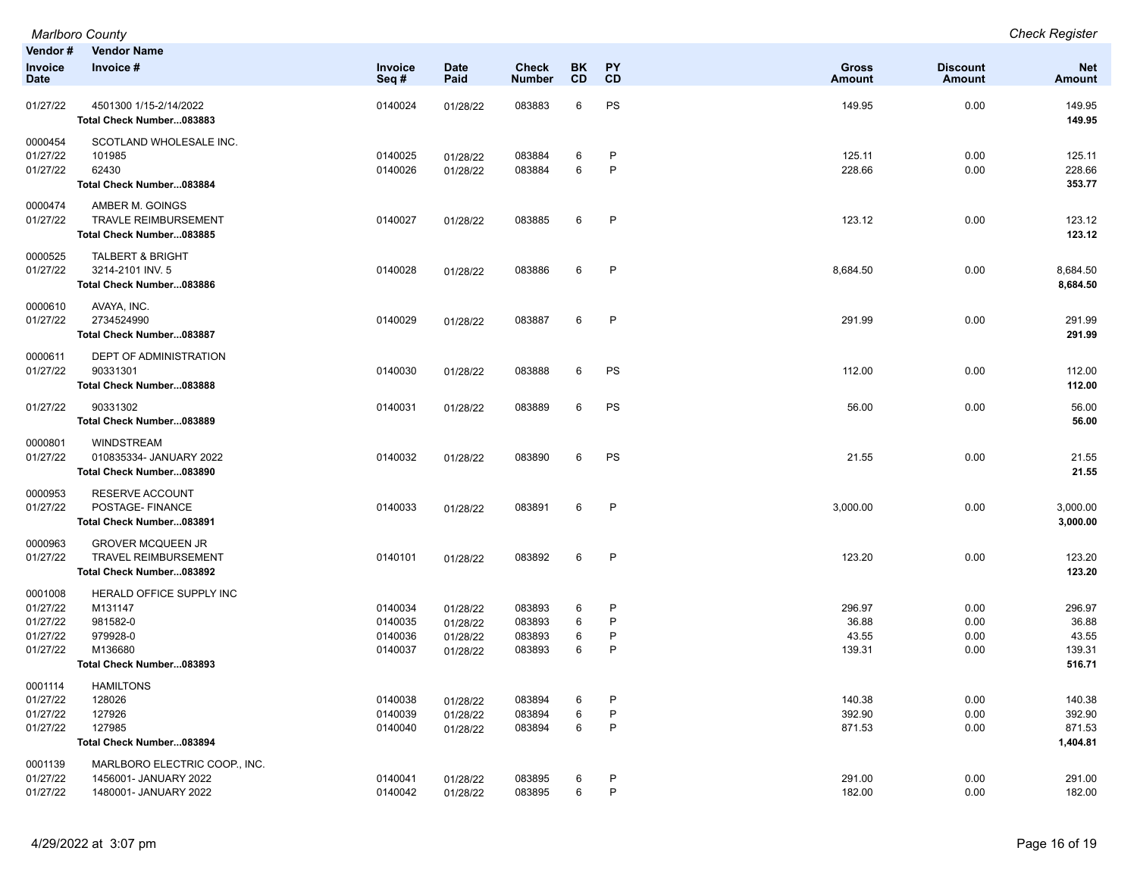| Vendor#<br>Invoice<br><b>Date</b>                       | <b>Vendor Name</b><br>Invoice #                                                                    | Invoice<br>Seq#                          | <b>Date</b><br>Paid                          | Check<br><b>Number</b>               | BK<br>CD         | PY<br>CD                    | <b>Gross</b><br>Amount             | <b>Discount</b><br><b>Amount</b> | <b>Net</b><br>Amount                         |
|---------------------------------------------------------|----------------------------------------------------------------------------------------------------|------------------------------------------|----------------------------------------------|--------------------------------------|------------------|-----------------------------|------------------------------------|----------------------------------|----------------------------------------------|
| 01/27/22                                                | 4501300 1/15-2/14/2022<br>Total Check Number083883                                                 | 0140024                                  | 01/28/22                                     | 083883                               | 6                | PS                          | 149.95                             | 0.00                             | 149.95<br>149.95                             |
| 0000454<br>01/27/22<br>01/27/22                         | SCOTLAND WHOLESALE INC.<br>101985<br>62430<br>Total Check Number083884                             | 0140025<br>0140026                       | 01/28/22<br>01/28/22                         | 083884<br>083884                     | 6<br>6           | P<br>P                      | 125.11<br>228.66                   | 0.00<br>0.00                     | 125.11<br>228.66<br>353.77                   |
| 0000474<br>01/27/22                                     | AMBER M. GOINGS<br><b>TRAVLE REIMBURSEMENT</b><br>Total Check Number083885                         | 0140027                                  | 01/28/22                                     | 083885                               | 6                | P                           | 123.12                             | 0.00                             | 123.12<br>123.12                             |
| 0000525<br>01/27/22                                     | TALBERT & BRIGHT<br>3214-2101 INV. 5<br>Total Check Number083886                                   | 0140028                                  | 01/28/22                                     | 083886                               | 6                | P                           | 8,684.50                           | 0.00                             | 8,684.50<br>8,684.50                         |
| 0000610<br>01/27/22                                     | AVAYA, INC.<br>2734524990<br>Total Check Number083887                                              | 0140029                                  | 01/28/22                                     | 083887                               | 6                | P                           | 291.99                             | 0.00                             | 291.99<br>291.99                             |
| 0000611<br>01/27/22                                     | <b>DEPT OF ADMINISTRATION</b><br>90331301<br>Total Check Number083888                              | 0140030                                  | 01/28/22                                     | 083888                               | 6                | PS                          | 112.00                             | 0.00                             | 112.00<br>112.00                             |
| 01/27/22                                                | 90331302<br>Total Check Number083889                                                               | 0140031                                  | 01/28/22                                     | 083889                               | 6                | PS                          | 56.00                              | 0.00                             | 56.00<br>56.00                               |
| 0000801<br>01/27/22                                     | <b>WINDSTREAM</b><br>010835334- JANUARY 2022<br>Total Check Number083890                           | 0140032                                  | 01/28/22                                     | 083890                               | 6                | PS                          | 21.55                              | 0.00                             | 21.55<br>21.55                               |
| 0000953<br>01/27/22                                     | RESERVE ACCOUNT<br>POSTAGE- FINANCE<br>Total Check Number083891                                    | 0140033                                  | 01/28/22                                     | 083891                               | 6                | P                           | 3,000.00                           | 0.00                             | 3,000.00<br>3,000.00                         |
| 0000963<br>01/27/22                                     | <b>GROVER MCQUEEN JR</b><br><b>TRAVEL REIMBURSEMENT</b><br>Total Check Number083892                | 0140101                                  | 01/28/22                                     | 083892                               | 6                | P                           | 123.20                             | 0.00                             | 123.20<br>123.20                             |
| 0001008<br>01/27/22<br>01/27/22<br>01/27/22<br>01/27/22 | HERALD OFFICE SUPPLY INC<br>M131147<br>981582-0<br>979928-0<br>M136680<br>Total Check Number083893 | 0140034<br>0140035<br>0140036<br>0140037 | 01/28/22<br>01/28/22<br>01/28/22<br>01/28/22 | 083893<br>083893<br>083893<br>083893 | 6<br>6<br>6<br>6 | P<br>P<br>P<br>$\mathsf{P}$ | 296.97<br>36.88<br>43.55<br>139.31 | 0.00<br>0.00<br>0.00<br>0.00     | 296.97<br>36.88<br>43.55<br>139.31<br>516.71 |
| 0001114<br>01/27/22<br>01/27/22<br>01/27/22             | <b>HAMILTONS</b><br>128026<br>127926<br>127985<br>Total Check Number083894                         | 0140038<br>0140039<br>0140040            | 01/28/22<br>01/28/22<br>01/28/22             | 083894<br>083894<br>083894           | 6<br>6<br>6      | P<br>P<br>P                 | 140.38<br>392.90<br>871.53         | 0.00<br>0.00<br>0.00             | 140.38<br>392.90<br>871.53<br>1,404.81       |
| 0001139<br>01/27/22<br>01/27/22                         | MARLBORO ELECTRIC COOP., INC.<br>1456001- JANUARY 2022<br>1480001- JANUARY 2022                    | 0140041<br>0140042                       | 01/28/22<br>01/28/22                         | 083895<br>083895                     | 6<br>6           | P<br>$\sf P$                | 291.00<br>182.00                   | 0.00<br>0.00                     | 291.00<br>182.00                             |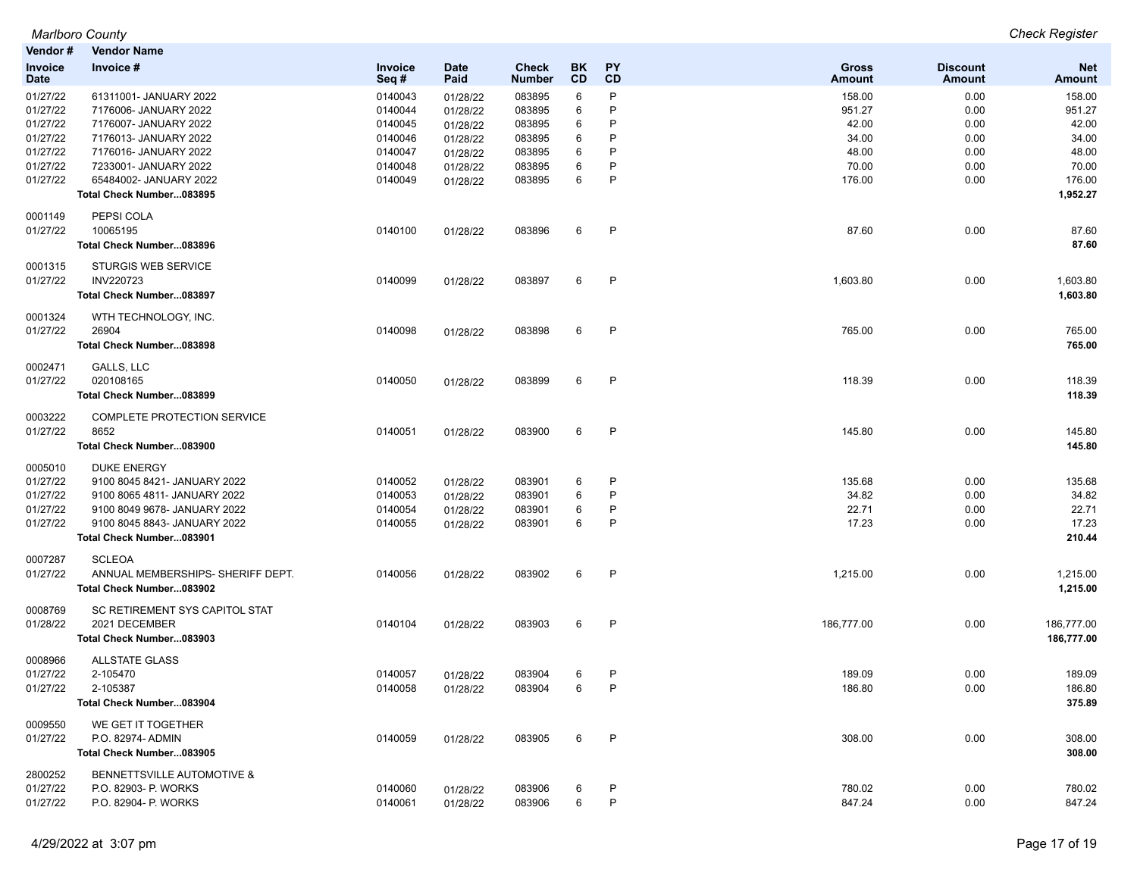| Vendor#                | <b>Vendor Name</b>                                           |                    |                     |                        |                 |                 |                               |                                  |                             |
|------------------------|--------------------------------------------------------------|--------------------|---------------------|------------------------|-----------------|-----------------|-------------------------------|----------------------------------|-----------------------------|
| Invoice<br><b>Date</b> | Invoice #                                                    | Invoice<br>Seq#    | <b>Date</b><br>Paid | <b>Check</b><br>Number | <b>BK</b><br>CD | <b>PY</b><br>CD | <b>Gross</b><br><b>Amount</b> | <b>Discount</b><br><b>Amount</b> | <b>Net</b><br><b>Amount</b> |
| 01/27/22               | 61311001- JANUARY 2022                                       | 0140043            | 01/28/22            | 083895                 | 6               | P               | 158.00                        | 0.00                             | 158.00                      |
| 01/27/22               | 7176006- JANUARY 2022                                        | 0140044            | 01/28/22            | 083895                 | 6               | P               | 951.27                        | 0.00                             | 951.27                      |
| 01/27/22               | 7176007- JANUARY 2022                                        | 0140045            | 01/28/22            | 083895                 | 6               | P               | 42.00                         | 0.00                             | 42.00                       |
| 01/27/22               | 7176013- JANUARY 2022                                        | 0140046            | 01/28/22            | 083895                 | 6               | P               | 34.00                         | 0.00                             | 34.00                       |
| 01/27/22               | 7176016- JANUARY 2022                                        | 0140047            | 01/28/22            | 083895                 | 6               | P               | 48.00                         | 0.00                             | 48.00                       |
| 01/27/22<br>01/27/22   | 7233001- JANUARY 2022<br>65484002- JANUARY 2022              | 0140048<br>0140049 | 01/28/22            | 083895<br>083895       | 6<br>6          | P<br>P          | 70.00<br>176.00               | 0.00<br>0.00                     | 70.00<br>176.00             |
|                        | Total Check Number083895                                     |                    | 01/28/22            |                        |                 |                 |                               |                                  | 1,952.27                    |
| 0001149                | PEPSI COLA                                                   |                    |                     |                        |                 |                 |                               |                                  |                             |
| 01/27/22               | 10065195<br>Total Check Number083896                         | 0140100            | 01/28/22            | 083896                 | 6               | P               | 87.60                         | 0.00                             | 87.60<br>87.60              |
| 0001315                | <b>STURGIS WEB SERVICE</b>                                   |                    |                     |                        |                 |                 |                               |                                  |                             |
| 01/27/22               | <b>INV220723</b>                                             | 0140099            | 01/28/22            | 083897                 | 6               | $\mathsf{P}$    | 1,603.80                      | 0.00                             | 1,603.80                    |
|                        | Total Check Number083897                                     |                    |                     |                        |                 |                 |                               |                                  | 1,603.80                    |
| 0001324<br>01/27/22    | WTH TECHNOLOGY, INC.<br>26904                                | 0140098            | 01/28/22            | 083898                 | 6               | P               | 765.00                        | 0.00                             | 765.00                      |
|                        | Total Check Number083898                                     |                    |                     |                        |                 |                 |                               |                                  | 765.00                      |
| 0002471                | GALLS, LLC                                                   |                    |                     |                        |                 |                 |                               |                                  |                             |
| 01/27/22               | 020108165<br>Total Check Number083899                        | 0140050            | 01/28/22            | 083899                 | 6               | P               | 118.39                        | 0.00                             | 118.39<br>118.39            |
| 0003222                | COMPLETE PROTECTION SERVICE                                  |                    |                     |                        |                 |                 |                               |                                  |                             |
| 01/27/22               | 8652                                                         | 0140051            | 01/28/22            | 083900                 | 6               | $\mathsf{P}$    | 145.80                        | 0.00                             | 145.80                      |
|                        | Total Check Number083900                                     |                    |                     |                        |                 |                 |                               |                                  | 145.80                      |
| 0005010                | <b>DUKE ENERGY</b>                                           |                    |                     |                        |                 |                 |                               |                                  |                             |
| 01/27/22               | 9100 8045 8421- JANUARY 2022                                 | 0140052            | 01/28/22            | 083901                 | 6               | P               | 135.68                        | 0.00                             | 135.68                      |
| 01/27/22               | 9100 8065 4811- JANUARY 2022                                 | 0140053            | 01/28/22            | 083901                 | 6               | P               | 34.82                         | 0.00                             | 34.82<br>22.71              |
| 01/27/22<br>01/27/22   | 9100 8049 9678- JANUARY 2022<br>9100 8045 8843- JANUARY 2022 | 0140054<br>0140055 | 01/28/22            | 083901<br>083901       | 6<br>6          | P<br>P          | 22.71<br>17.23                | 0.00<br>0.00                     | 17.23                       |
|                        | Total Check Number083901                                     |                    | 01/28/22            |                        |                 |                 |                               |                                  | 210.44                      |
| 0007287                | <b>SCLEOA</b>                                                |                    |                     |                        |                 |                 |                               |                                  |                             |
| 01/27/22               | ANNUAL MEMBERSHIPS- SHERIFF DEPT.                            | 0140056            | 01/28/22            | 083902                 | 6               | $\mathsf{P}$    | 1,215.00                      | 0.00                             | 1,215.00                    |
|                        | Total Check Number083902                                     |                    |                     |                        |                 |                 |                               |                                  | 1,215.00                    |
| 0008769                | SC RETIREMENT SYS CAPITOL STAT<br>2021 DECEMBER              |                    |                     |                        |                 | P               | 186,777.00                    |                                  |                             |
| 01/28/22               | Total Check Number083903                                     | 0140104            | 01/28/22            | 083903                 | 6               |                 |                               | 0.00                             | 186,777.00<br>186,777.00    |
| 0008966                | <b>ALLSTATE GLASS</b>                                        |                    |                     |                        |                 |                 |                               |                                  |                             |
| 01/27/22               | 2-105470                                                     | 0140057            | 01/28/22            | 083904                 | 6               | $\mathsf{P}$    | 189.09                        | 0.00                             | 189.09                      |
| 01/27/22               | 2-105387                                                     | 0140058            | 01/28/22            | 083904                 | 6               | P               | 186.80                        | 0.00                             | 186.80                      |
|                        | Total Check Number083904                                     |                    |                     |                        |                 |                 |                               |                                  | 375.89                      |
| 0009550<br>01/27/22    | WE GET IT TOGETHER<br>P.O. 82974- ADMIN                      | 0140059            | 01/28/22            | 083905                 | 6               | P               | 308.00                        | 0.00                             | 308.00                      |
|                        | Total Check Number083905                                     |                    |                     |                        |                 |                 |                               |                                  | 308.00                      |
| 2800252                | BENNETTSVILLE AUTOMOTIVE &                                   |                    |                     |                        |                 |                 |                               |                                  |                             |
| 01/27/22               | P.O. 82903- P. WORKS                                         | 0140060            | 01/28/22            | 083906                 | 6               | P               | 780.02                        | 0.00                             | 780.02                      |
| 01/27/22               | P.O. 82904- P. WORKS                                         | 0140061            | 01/28/22            | 083906                 | 6               | $\mathsf{P}$    | 847.24                        | 0.00                             | 847.24                      |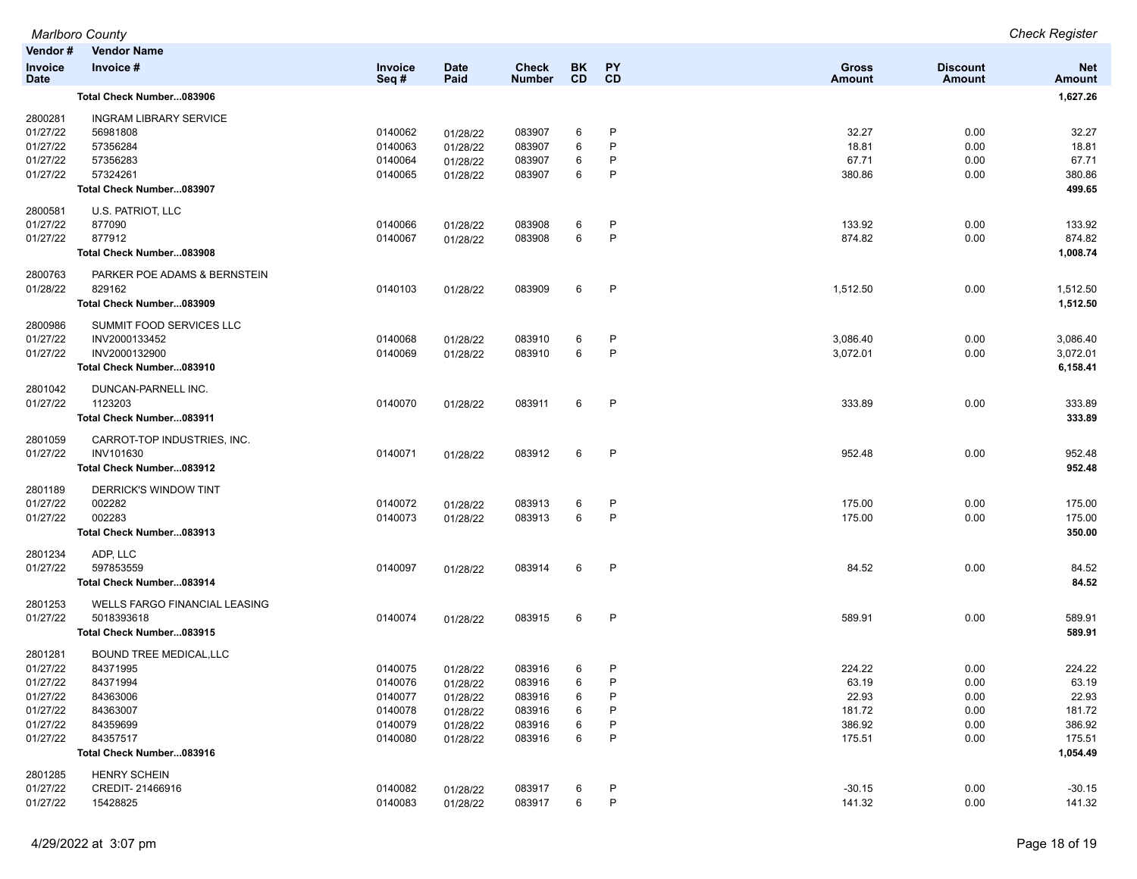| Vendor#                       | <b>Vendor Name</b>                   |                    |                      |                               |                        |                   |                               |                                  |                             |
|-------------------------------|--------------------------------------|--------------------|----------------------|-------------------------------|------------------------|-------------------|-------------------------------|----------------------------------|-----------------------------|
| <b>Invoice</b><br><b>Date</b> | Invoice #                            | Invoice<br>Seq#    | <b>Date</b><br>Paid  | <b>Check</b><br><b>Number</b> | <b>BK</b><br><b>CD</b> | <b>PY</b><br>CD   | <b>Gross</b><br><b>Amount</b> | <b>Discount</b><br><b>Amount</b> | <b>Net</b><br><b>Amount</b> |
|                               | Total Check Number083906             |                    |                      |                               |                        |                   |                               |                                  | 1,627.26                    |
| 2800281                       | <b>INGRAM LIBRARY SERVICE</b>        |                    |                      |                               |                        |                   |                               |                                  |                             |
| 01/27/22                      | 56981808                             | 0140062            | 01/28/22             | 083907                        | 6                      | P                 | 32.27                         | 0.00                             | 32.27                       |
| 01/27/22                      | 57356284                             | 0140063            | 01/28/22             | 083907                        | 6                      | P                 | 18.81                         | 0.00                             | 18.81                       |
| 01/27/22                      | 57356283                             | 0140064            | 01/28/22             | 083907                        | 6                      | P                 | 67.71                         | 0.00                             | 67.71                       |
| 01/27/22                      | 57324261                             | 0140065            | 01/28/22             | 083907                        | 6                      | P                 | 380.86                        | 0.00                             | 380.86                      |
|                               | Total Check Number083907             |                    |                      |                               |                        |                   |                               |                                  | 499.65                      |
| 2800581                       | U.S. PATRIOT, LLC                    |                    |                      |                               |                        |                   |                               |                                  |                             |
| 01/27/22                      | 877090                               | 0140066            | 01/28/22             | 083908                        | 6                      | P                 | 133.92                        | 0.00                             | 133.92                      |
| 01/27/22                      | 877912                               | 0140067            | 01/28/22             | 083908                        | 6                      | P                 | 874.82                        | 0.00                             | 874.82                      |
|                               | Total Check Number083908             |                    |                      |                               |                        |                   |                               |                                  | 1,008.74                    |
| 2800763                       | PARKER POE ADAMS & BERNSTEIN         |                    |                      |                               |                        |                   |                               |                                  |                             |
| 01/28/22                      | 829162                               | 0140103            | 01/28/22             | 083909                        | 6                      | P                 | 1,512.50                      | 0.00                             | 1,512.50                    |
|                               | Total Check Number083909             |                    |                      |                               |                        |                   |                               |                                  | 1,512.50                    |
| 2800986                       | SUMMIT FOOD SERVICES LLC             |                    |                      |                               |                        |                   |                               |                                  |                             |
| 01/27/22                      | INV2000133452                        | 0140068            | 01/28/22             | 083910                        | 6                      | P                 | 3,086.40                      | 0.00                             | 3,086.40                    |
| 01/27/22                      | INV2000132900                        | 0140069            | 01/28/22             | 083910                        | 6                      | P                 | 3,072.01                      | 0.00                             | 3,072.01                    |
|                               | Total Check Number083910             |                    |                      |                               |                        |                   |                               |                                  | 6,158.41                    |
| 2801042                       | DUNCAN-PARNELL INC.                  |                    |                      |                               |                        |                   |                               |                                  |                             |
| 01/27/22                      | 1123203                              | 0140070            | 01/28/22             | 083911                        | 6                      | P                 | 333.89                        | 0.00                             | 333.89                      |
|                               | Total Check Number083911             |                    |                      |                               |                        |                   |                               |                                  | 333.89                      |
| 2801059                       | CARROT-TOP INDUSTRIES, INC.          |                    |                      |                               |                        |                   |                               |                                  |                             |
| 01/27/22                      | INV101630                            | 0140071            | 01/28/22             | 083912                        | 6                      | P                 | 952.48                        | 0.00                             | 952.48                      |
|                               | Total Check Number083912             |                    |                      |                               |                        |                   |                               |                                  | 952.48                      |
| 2801189                       | DERRICK'S WINDOW TINT                |                    |                      |                               |                        |                   |                               |                                  |                             |
| 01/27/22                      | 002282                               | 0140072            | 01/28/22             | 083913                        | 6                      | P                 | 175.00                        | 0.00                             | 175.00                      |
| 01/27/22                      | 002283                               | 0140073            | 01/28/22             | 083913                        | 6                      | P                 | 175.00                        | 0.00                             | 175.00                      |
|                               | Total Check Number083913             |                    |                      |                               |                        |                   |                               |                                  | 350.00                      |
| 2801234                       | ADP, LLC                             |                    |                      |                               |                        |                   |                               |                                  |                             |
| 01/27/22                      | 597853559                            | 0140097            | 01/28/22             | 083914                        | 6                      | $\mathsf{P}$      | 84.52                         | 0.00                             | 84.52                       |
|                               | Total Check Number083914             |                    |                      |                               |                        |                   |                               |                                  | 84.52                       |
| 2801253                       | <b>WELLS FARGO FINANCIAL LEASING</b> |                    |                      |                               |                        |                   |                               |                                  |                             |
| 01/27/22                      | 5018393618                           | 0140074            | 01/28/22             | 083915                        | 6                      | P                 | 589.91                        | 0.00                             | 589.91                      |
|                               | Total Check Number083915             |                    |                      |                               |                        |                   |                               |                                  | 589.91                      |
| 2801281                       | <b>BOUND TREE MEDICAL, LLC</b>       |                    |                      |                               |                        |                   |                               |                                  |                             |
| 01/27/22                      | 84371995                             | 0140075            | 01/28/22             | 083916                        | 6                      | P                 | 224.22                        | 0.00                             | 224.22                      |
| 01/27/22                      | 84371994                             | 0140076            | 01/28/22             | 083916                        | 6                      | P                 | 63.19                         | 0.00                             | 63.19                       |
| 01/27/22                      | 84363006                             | 0140077            | 01/28/22             | 083916                        | 6                      | P<br>P            | 22.93                         | 0.00                             | 22.93                       |
| 01/27/22                      | 84363007                             | 0140078            | 01/28/22             | 083916                        | 6                      |                   | 181.72<br>386.92              | 0.00                             | 181.72                      |
| 01/27/22<br>01/27/22          | 84359699<br>84357517                 | 0140079<br>0140080 | 01/28/22             | 083916<br>083916              | 6<br>6                 | P<br>P            | 175.51                        | 0.00<br>0.00                     | 386.92<br>175.51            |
|                               | Total Check Number083916             |                    | 01/28/22             |                               |                        |                   |                               |                                  | 1,054.49                    |
|                               |                                      |                    |                      |                               |                        |                   |                               |                                  |                             |
| 2801285                       | <b>HENRY SCHEIN</b>                  |                    |                      |                               |                        |                   |                               |                                  |                             |
| 01/27/22<br>01/27/22          | CREDIT-21466916<br>15428825          | 0140082<br>0140083 | 01/28/22<br>01/28/22 | 083917<br>083917              | 6<br>6                 | P<br>$\mathsf{P}$ | $-30.15$<br>141.32            | 0.00<br>0.00                     | $-30.15$<br>141.32          |
|                               |                                      |                    |                      |                               |                        |                   |                               |                                  |                             |